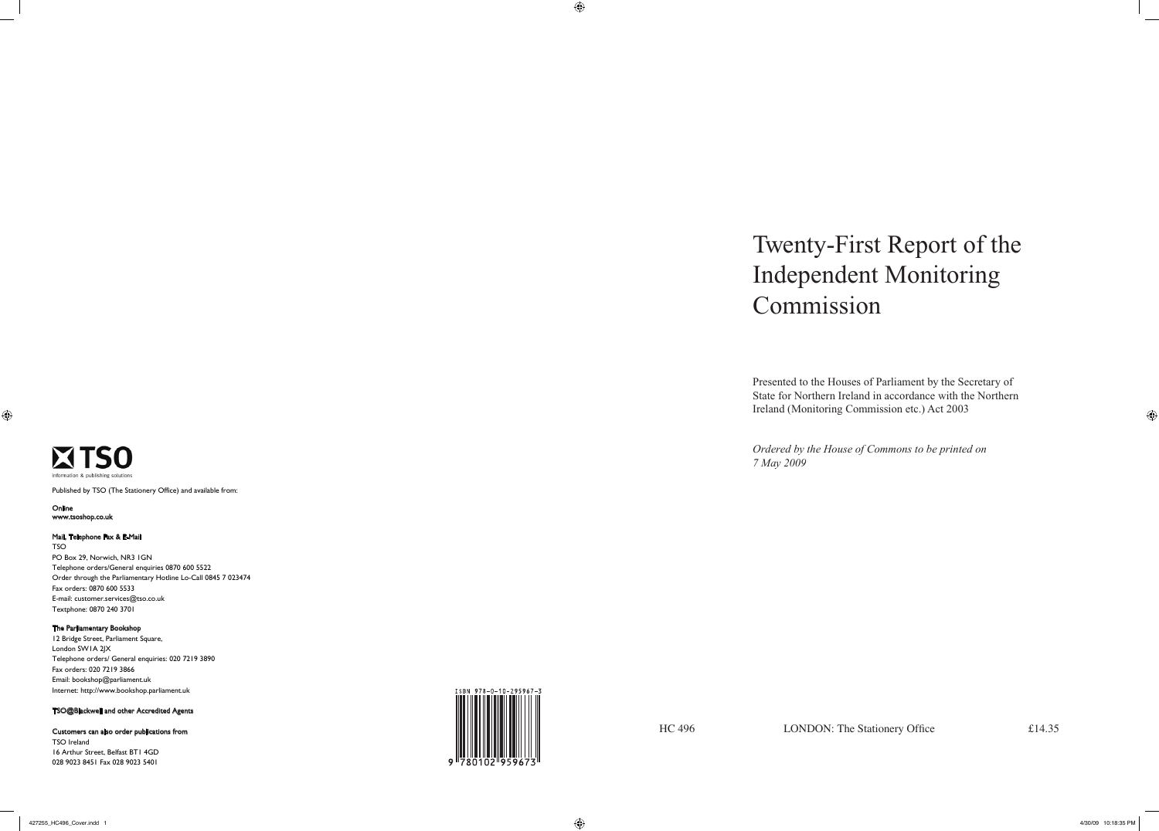# Twenty-First Report of the Independent Monitoring

Presented to the Houses of Parliament by the Secretary of State for Northern Ireland in accordance with the Northern Ireland (Monitoring Commission etc.) Act 2003

*Ordered by the House of Commons to be printed on* 

HC 496 LONDON: The Stationery Office £14.35

 $\bigoplus$ 

*7 May 2009*

**XTSO** ation & publishing solutions

Published by TSO (The Stationery Office) and available from:

Online www.tsoshop.co.uk

 $\bigoplus$ 

#### Mail, Telephone Fax & E-Mail

TSO PO Box 29, Norwich, NR3 1GN Telephone orders/General enquiries 0870 600 5522 Order through the Parliamentary Hotline Lo-Call 0845 7 023474 Fax orders: 0870 600 5533 E-mail: customer.services@tso.co.uk Textphone: 0870 240 3701

#### The Parliamentary Bookshop



12 Bridge Street, Parliament Square, London SW1A 2JX Telephone orders/ General enquiries: 020 7219 3890 Fax orders: 020 7219 3866 Email: bookshop@parliament.uk Internet: http://www.bookshop.parliament.uk

#### TSO@Blackwell and other Accredited Agents

Customers can also order publications from

TSO Ireland 16 Arthur Street, Belfast BT1 4GD 028 9023 8451 Fax 028 9023 5401

 $\bigoplus$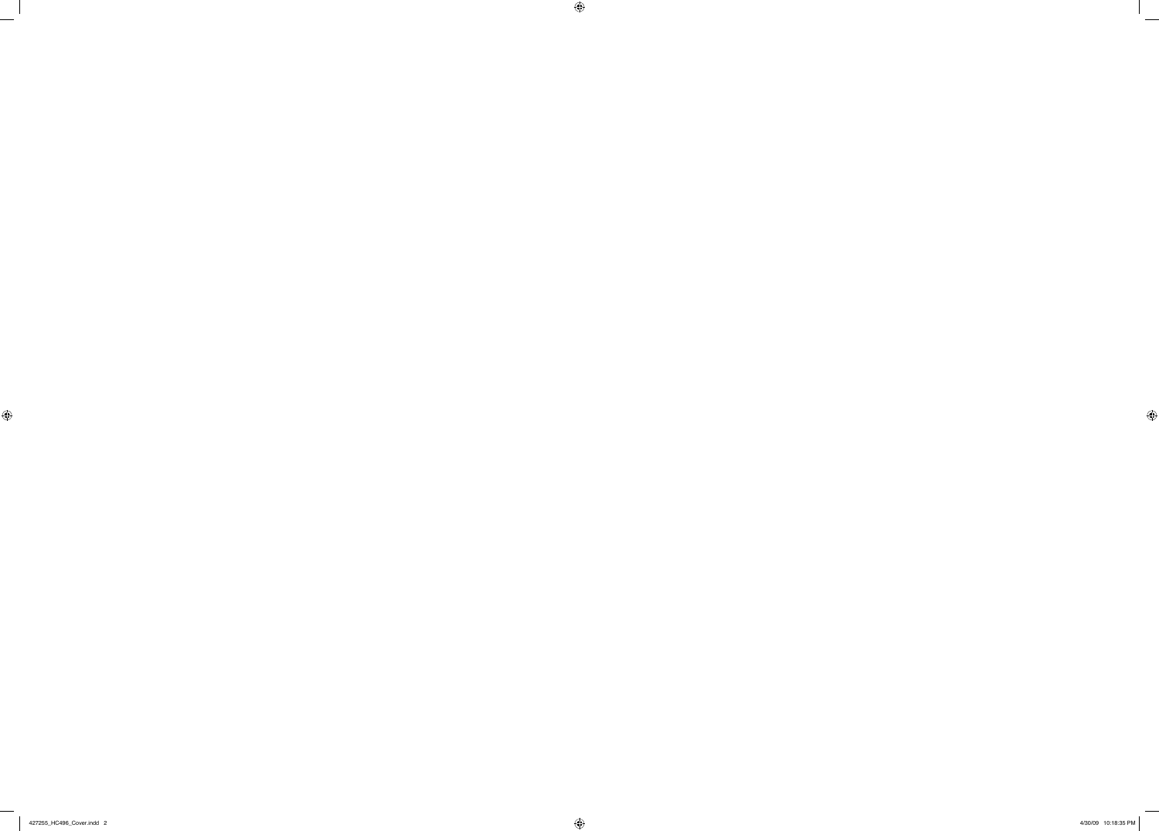$\overline{\phantom{0}}$ 

 $\bigoplus$ 

 $\bigoplus$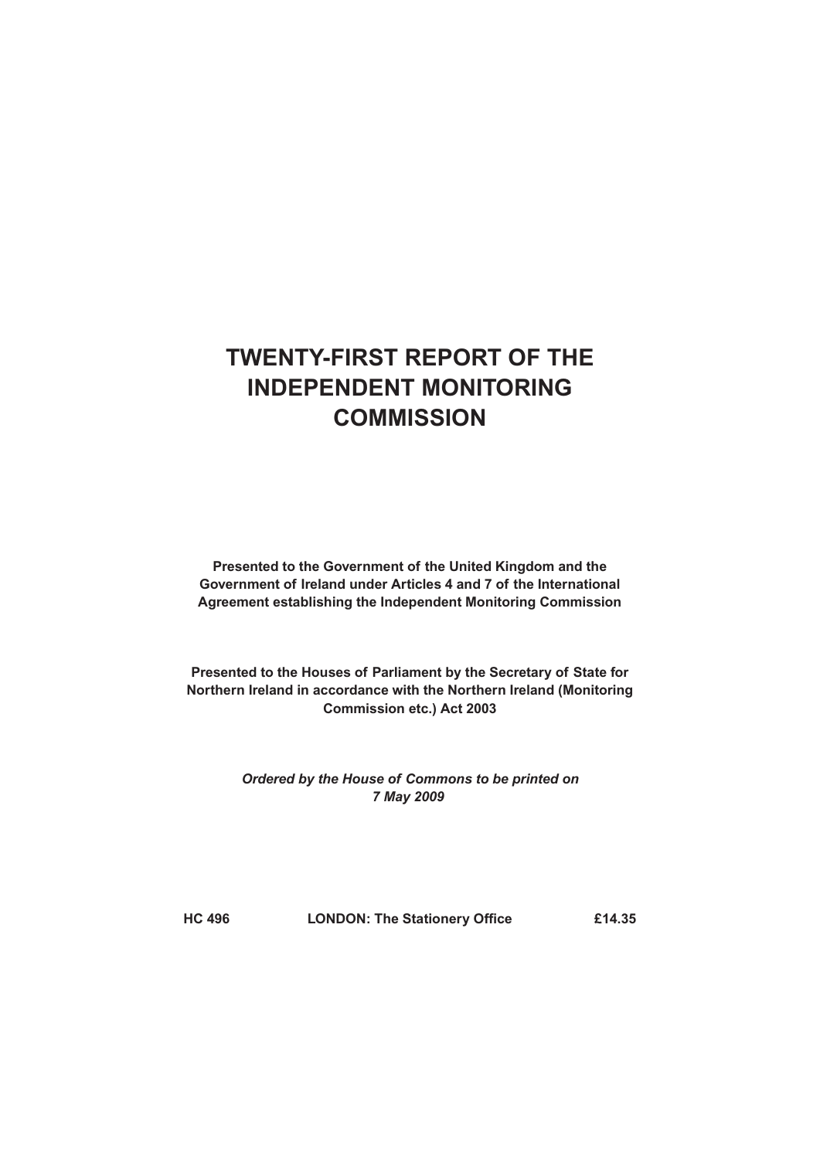# **TwentY-FIRST Report of the Independent Monitoring Commission**

**Presented to the Government of the United Kingdom and the Government of Ireland under Articles 4 and 7 of the International Agreement establishing the Independent Monitoring Commission**

**Presented to the Houses of Parliament by the Secretary of State for Northern Ireland in accordance with the Northern Ireland (Monitoring Commission etc.) Act 2003**

> *Ordered by the House of Commons to be printed on 7 May 2009*

**HC 496 LONDON: The Stationery Office £14.35**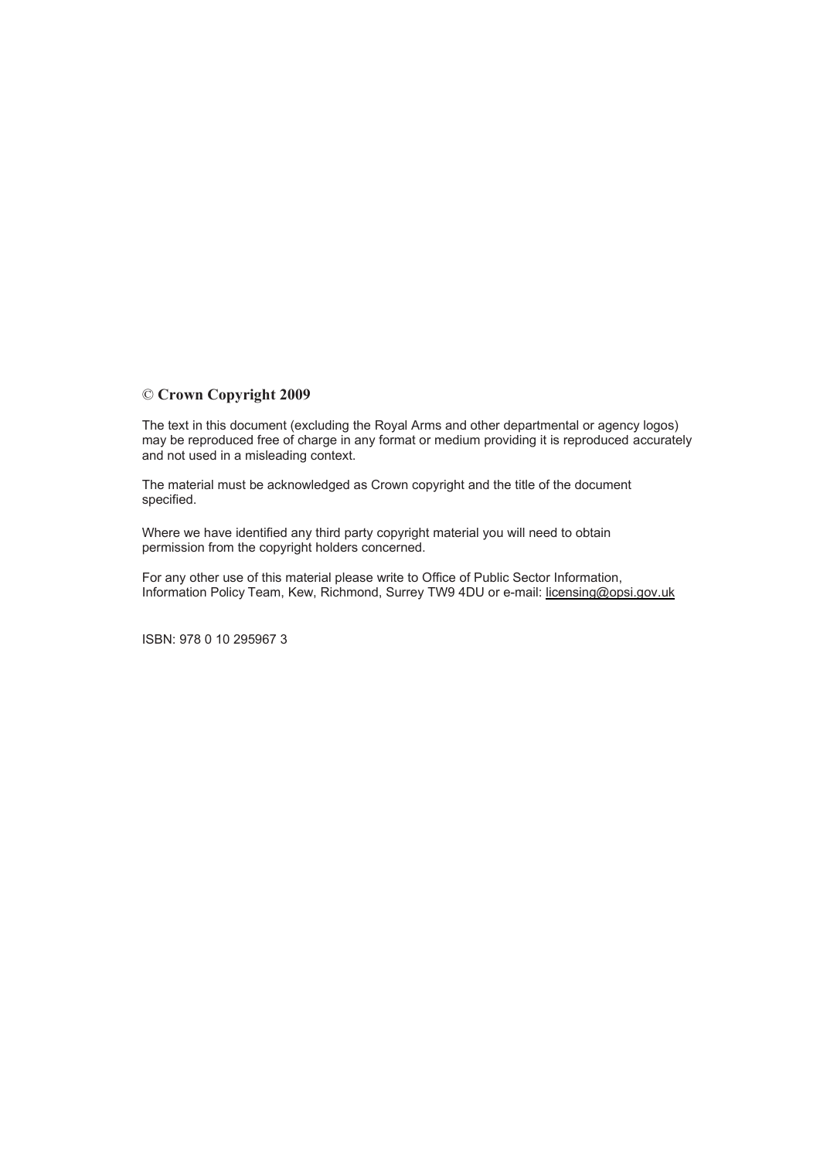#### © **Crown Copyright 2009**

The text in this document (excluding the Royal Arms and other departmental or agency logos) may be reproduced free of charge in any format or medium providing it is reproduced accurately and not used in a misleading context.

The material must be acknowledged as Crown copyright and the title of the document specified.

Where we have identified any third party copyright material you will need to obtain permission from the copyright holders concerned.

For any other use of this material please write to Office of Public Sector Information, Information Policy Team, Kew, Richmond, Surrey TW9 4DU or e-mail: licensing@opsi.gov.uk

ISBN: 978 0 10 295967 3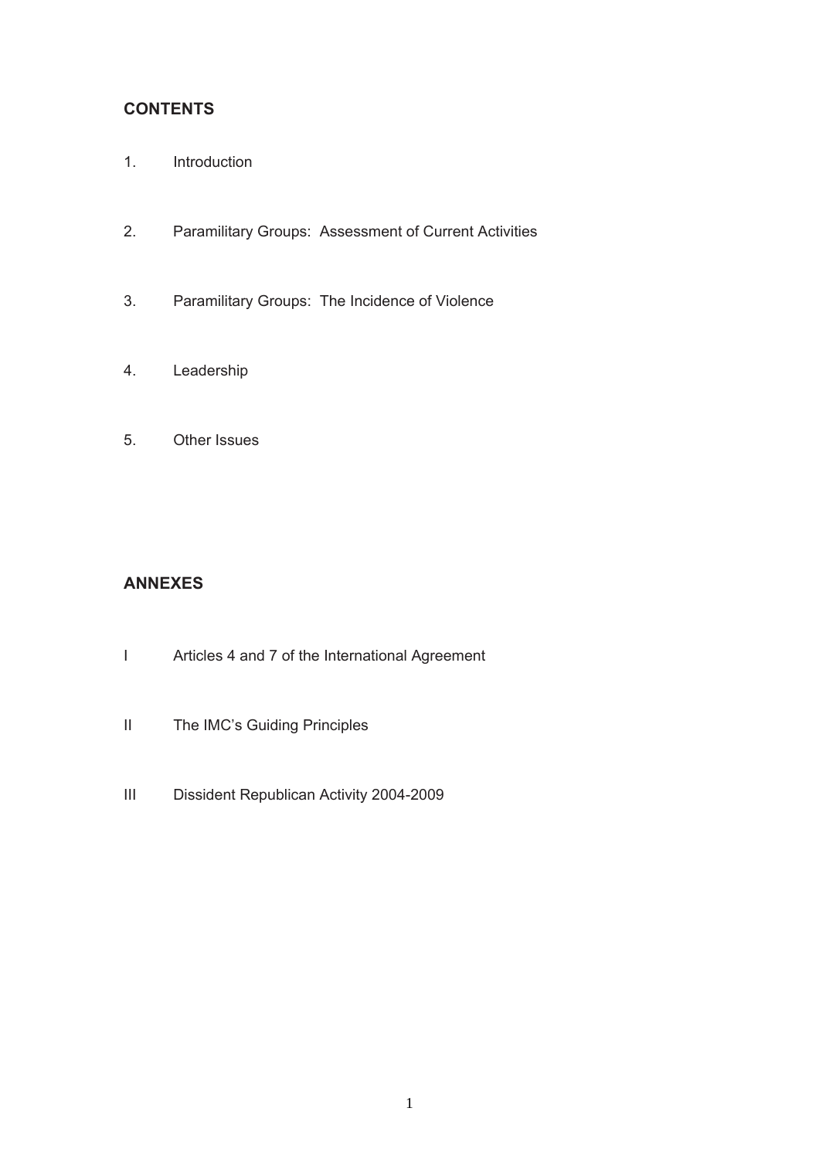# **CONTENTS**

- 1. Introduction
- 2. Paramilitary Groups: Assessment of Current Activities
- 3. Paramilitary Groups: The Incidence of Violence
- 4. Leadership
- 5. Other Issues

# **ANNEXES**

- I Articles 4 and 7 of the International Agreement
- II The IMC's Guiding Principles
- III Dissident Republican Activity 2004-2009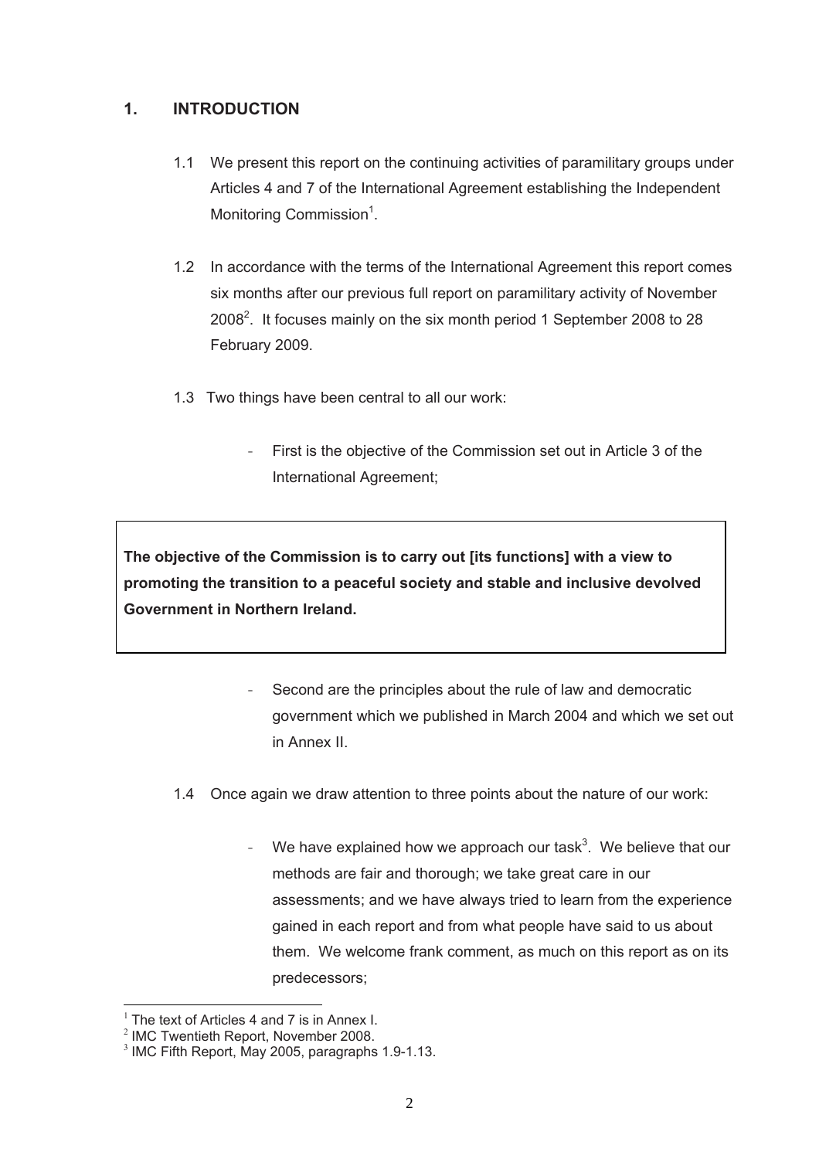## **1. INTRODUCTION**

- 1.1 We present this report on the continuing activities of paramilitary groups under Articles 4 and 7 of the International Agreement establishing the Independent Monitoring Commission<sup>1</sup>.
- 1.2 In accordance with the terms of the International Agreement this report comes six months after our previous full report on paramilitary activity of November 2008<sup>2</sup>. It focuses mainly on the six month period 1 September 2008 to 28 February 2009.
- 1.3 Two things have been central to all our work:
	- First is the objective of the Commission set out in Article 3 of the International Agreement;

**The objective of the Commission is to carry out [its functions] with a view to promoting the transition to a peaceful society and stable and inclusive devolved Government in Northern Ireland.** 

- Second are the principles about the rule of law and democratic government which we published in March 2004 and which we set out in Annex II.
- 1.4 Once again we draw attention to three points about the nature of our work:
	- We have explained how we approach our task<sup>3</sup>. We believe that our methods are fair and thorough; we take great care in our assessments; and we have always tried to learn from the experience gained in each report and from what people have said to us about them. We welcome frank comment, as much on this report as on its predecessors;

 $\overline{a}$  $<sup>1</sup>$  The text of Articles 4 and 7 is in Annex I.</sup>

<sup>2</sup> IMC Twentieth Report, November 2008.

<sup>&</sup>lt;sup>3</sup> IMC Fifth Report, May 2005, paragraphs 1.9-1.13.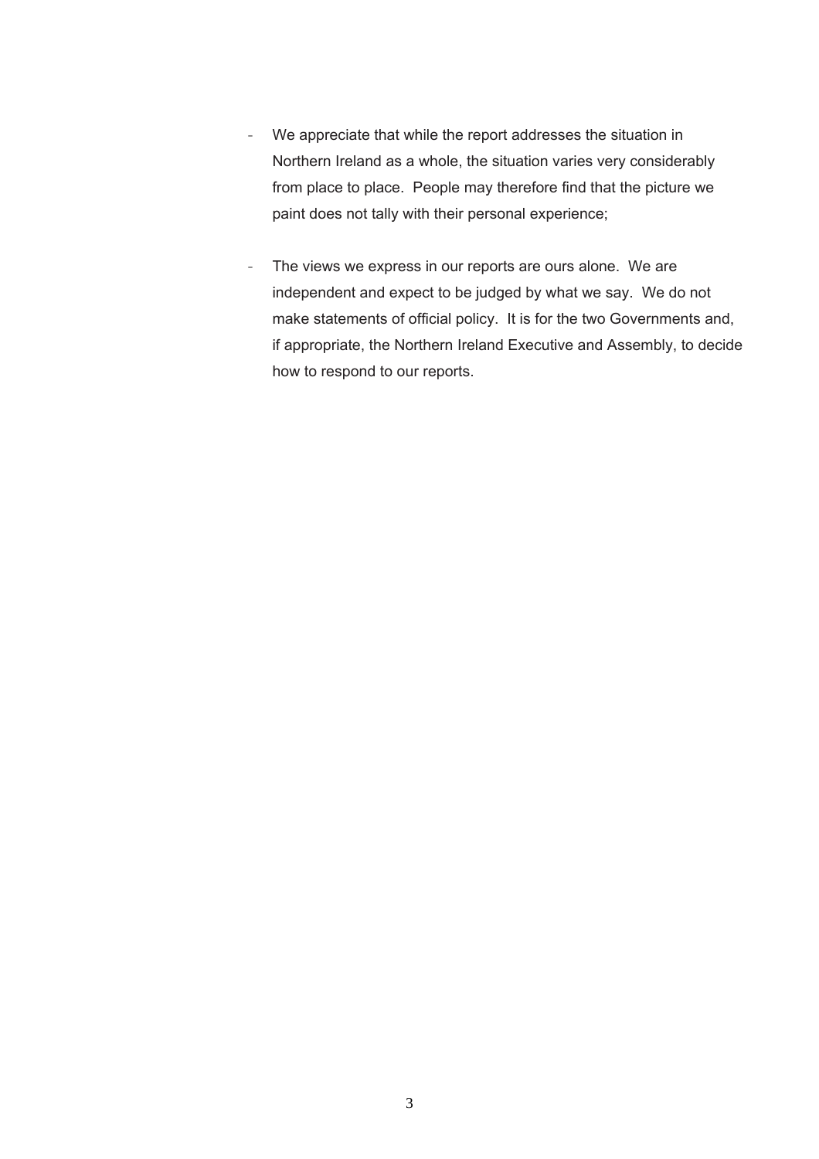- We appreciate that while the report addresses the situation in Northern Ireland as a whole, the situation varies very considerably from place to place. People may therefore find that the picture we paint does not tally with their personal experience;
- The views we express in our reports are ours alone. We are independent and expect to be judged by what we say. We do not make statements of official policy. It is for the two Governments and, if appropriate, the Northern Ireland Executive and Assembly, to decide how to respond to our reports.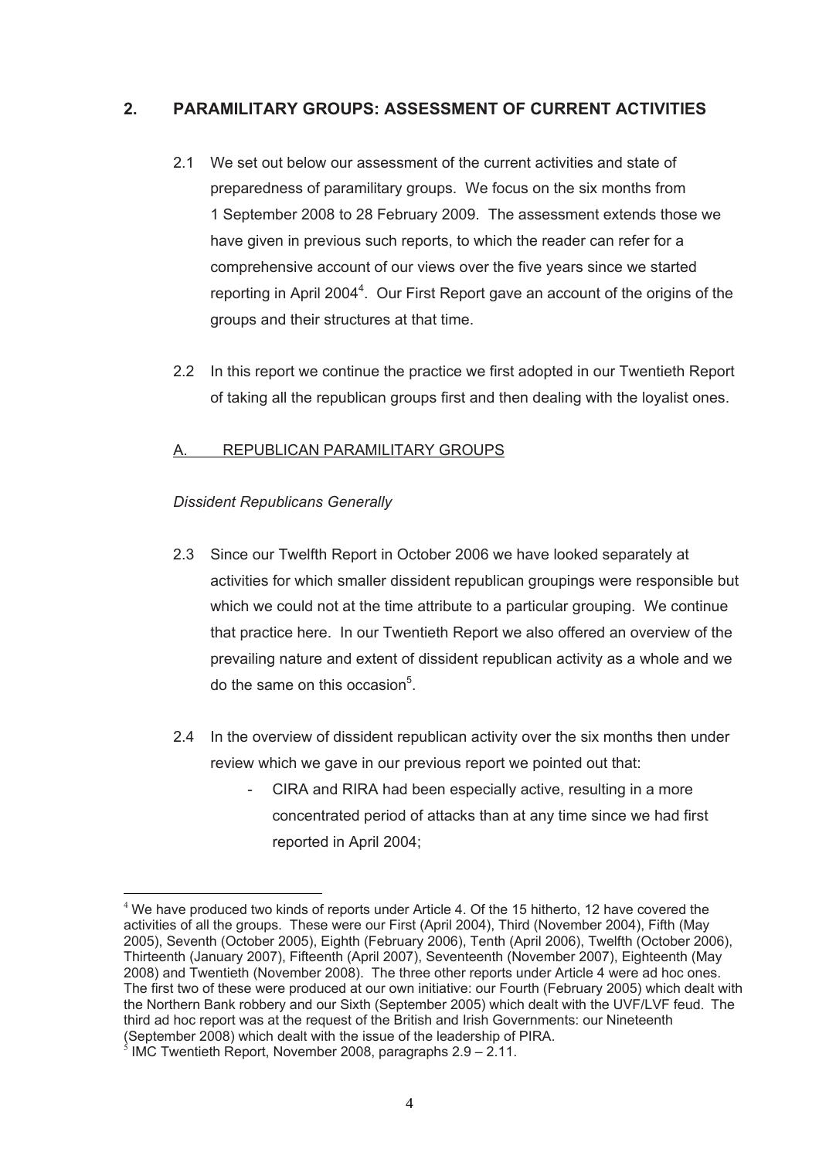# **2. PARAMILITARY GROUPS: ASSESSMENT OF CURRENT ACTIVITIES**

- 2.1 We set out below our assessment of the current activities and state of preparedness of paramilitary groups. We focus on the six months from 1 September 2008 to 28 February 2009. The assessment extends those we have given in previous such reports, to which the reader can refer for a comprehensive account of our views over the five years since we started reporting in April 2004<sup>4</sup>. Our First Report gave an account of the origins of the groups and their structures at that time.
- 2.2 In this report we continue the practice we first adopted in our Twentieth Report of taking all the republican groups first and then dealing with the loyalist ones.

#### A. REPUBLICAN PARAMILITARY GROUPS

#### *Dissident Republicans Generally*

- 2.3 Since our Twelfth Report in October 2006 we have looked separately at activities for which smaller dissident republican groupings were responsible but which we could not at the time attribute to a particular grouping. We continue that practice here. In our Twentieth Report we also offered an overview of the prevailing nature and extent of dissident republican activity as a whole and we do the same on this occasion<sup>5</sup>.
- 2.4 In the overview of dissident republican activity over the six months then under review which we gave in our previous report we pointed out that:
	- CIRA and RIRA had been especially active, resulting in a more concentrated period of attacks than at any time since we had first reported in April 2004;

 $\overline{a}$  $4$  We have produced two kinds of reports under Article 4. Of the 15 hitherto, 12 have covered the activities of all the groups. These were our First (April 2004), Third (November 2004), Fifth (May 2005), Seventh (October 2005), Eighth (February 2006), Tenth (April 2006), Twelfth (October 2006), Thirteenth (January 2007), Fifteenth (April 2007), Seventeenth (November 2007), Eighteenth (May 2008) and Twentieth (November 2008). The three other reports under Article 4 were ad hoc ones. The first two of these were produced at our own initiative: our Fourth (February 2005) which dealt with the Northern Bank robbery and our Sixth (September 2005) which dealt with the UVF/LVF feud. The third ad hoc report was at the request of the British and Irish Governments: our Nineteenth (September 2008) which dealt with the issue of the leadership of PIRA.  $\frac{5}{1}$  IMC Twentieth Report, November 2008, paragraphs 2.9 – 2.11.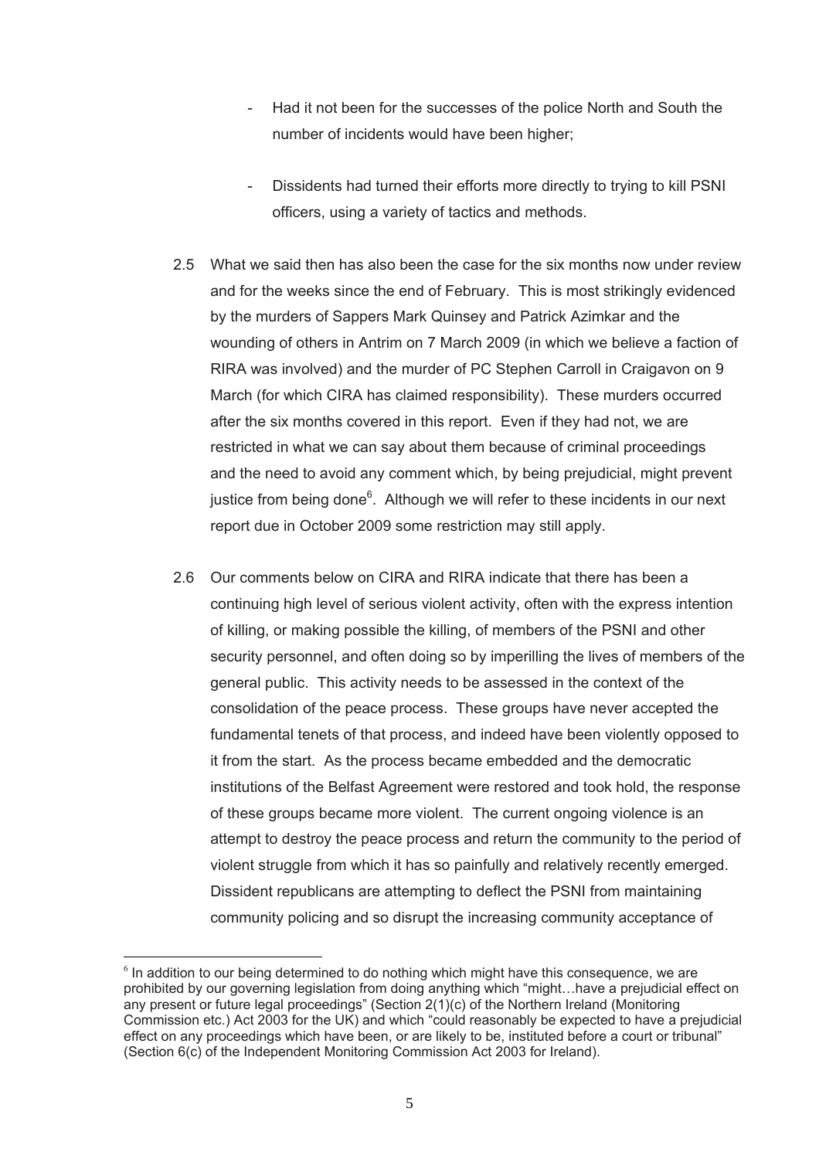- Had it not been for the successes of the police North and South the number of incidents would have been higher;
- Dissidents had turned their efforts more directly to trying to kill PSNI officers, using a variety of tactics and methods.
- 2.5 What we said then has also been the case for the six months now under review and for the weeks since the end of February. This is most strikingly evidenced by the murders of Sappers Mark Quinsey and Patrick Azimkar and the wounding of others in Antrim on 7 March 2009 (in which we believe a faction of RIRA was involved) and the murder of PC Stephen Carroll in Craigavon on 9 March (for which CIRA has claimed responsibility). These murders occurred after the six months covered in this report. Even if they had not, we are restricted in what we can say about them because of criminal proceedings and the need to avoid any comment which, by being prejudicial, might prevent justice from being done $^6$ . Although we will refer to these incidents in our next report due in October 2009 some restriction may still apply.
- 2.6 Our comments below on CIRA and RIRA indicate that there has been a continuing high level of serious violent activity, often with the express intention of killing, or making possible the killing, of members of the PSNI and other security personnel, and often doing so by imperilling the lives of members of the general public. This activity needs to be assessed in the context of the consolidation of the peace process. These groups have never accepted the fundamental tenets of that process, and indeed have been violently opposed to it from the start. As the process became embedded and the democratic institutions of the Belfast Agreement were restored and took hold, the response of these groups became more violent. The current ongoing violence is an attempt to destroy the peace process and return the community to the period of violent struggle from which it has so painfully and relatively recently emerged. Dissident republicans are attempting to deflect the PSNI from maintaining community policing and so disrupt the increasing community acceptance of

 $\overline{a}$ 

 $6$  In addition to our being determined to do nothing which might have this consequence, we are prohibited by our governing legislation from doing anything which "might…have a prejudicial effect on any present or future legal proceedings" (Section 2(1)(c) of the Northern Ireland (Monitoring Commission etc.) Act 2003 for the UK) and which "could reasonably be expected to have a prejudicial effect on any proceedings which have been, or are likely to be, instituted before a court or tribunal" (Section 6(c) of the Independent Monitoring Commission Act 2003 for Ireland).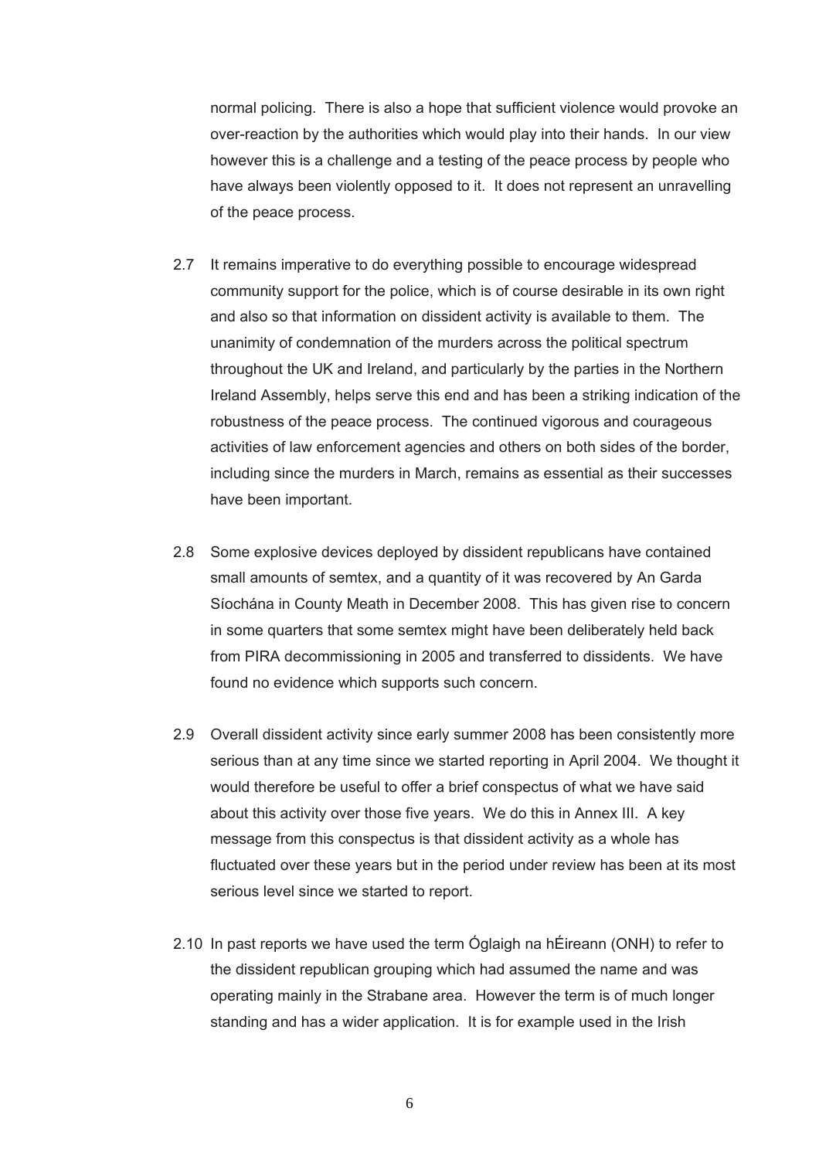normal policing. There is also a hope that sufficient violence would provoke an over-reaction by the authorities which would play into their hands. In our view however this is a challenge and a testing of the peace process by people who have always been violently opposed to it. It does not represent an unravelling of the peace process.

- 2.7 It remains imperative to do everything possible to encourage widespread community support for the police, which is of course desirable in its own right and also so that information on dissident activity is available to them. The unanimity of condemnation of the murders across the political spectrum throughout the UK and Ireland, and particularly by the parties in the Northern Ireland Assembly, helps serve this end and has been a striking indication of the robustness of the peace process. The continued vigorous and courageous activities of law enforcement agencies and others on both sides of the border, including since the murders in March, remains as essential as their successes have been important.
- 2.8 Some explosive devices deployed by dissident republicans have contained small amounts of semtex, and a quantity of it was recovered by An Garda Síochána in County Meath in December 2008. This has given rise to concern in some quarters that some semtex might have been deliberately held back from PIRA decommissioning in 2005 and transferred to dissidents. We have found no evidence which supports such concern.
- 2.9 Overall dissident activity since early summer 2008 has been consistently more serious than at any time since we started reporting in April 2004. We thought it would therefore be useful to offer a brief conspectus of what we have said about this activity over those five years. We do this in Annex III. A key message from this conspectus is that dissident activity as a whole has fluctuated over these years but in the period under review has been at its most serious level since we started to report.
- 2.10 In past reports we have used the term Óglaigh na hÉireann (ONH) to refer to the dissident republican grouping which had assumed the name and was operating mainly in the Strabane area. However the term is of much longer standing and has a wider application. It is for example used in the Irish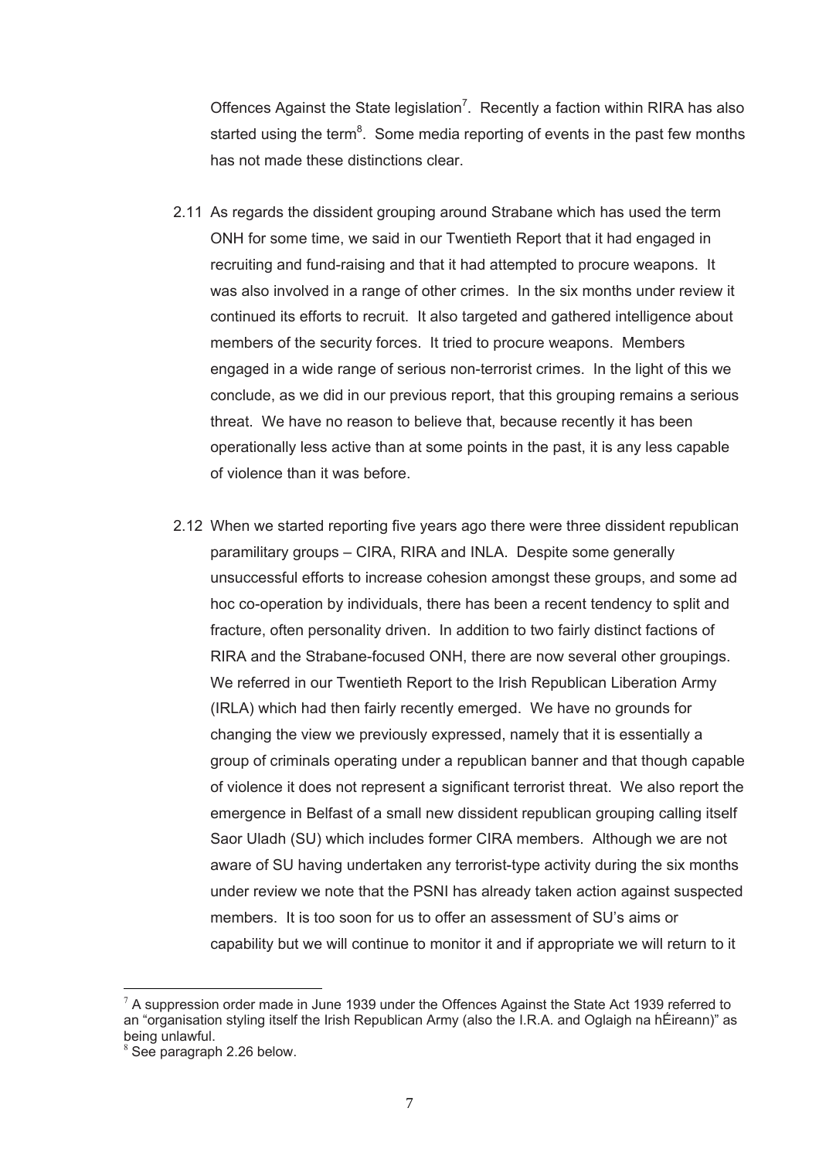Offences Against the State legislation<sup>7</sup>. Recently a faction within RIRA has also started using the term $8$ . Some media reporting of events in the past few months has not made these distinctions clear.

- 2.11 As regards the dissident grouping around Strabane which has used the term ONH for some time, we said in our Twentieth Report that it had engaged in recruiting and fund-raising and that it had attempted to procure weapons. It was also involved in a range of other crimes. In the six months under review it continued its efforts to recruit. It also targeted and gathered intelligence about members of the security forces. It tried to procure weapons. Members engaged in a wide range of serious non-terrorist crimes. In the light of this we conclude, as we did in our previous report, that this grouping remains a serious threat. We have no reason to believe that, because recently it has been operationally less active than at some points in the past, it is any less capable of violence than it was before.
- 2.12 When we started reporting five years ago there were three dissident republican paramilitary groups – CIRA, RIRA and INLA. Despite some generally unsuccessful efforts to increase cohesion amongst these groups, and some ad hoc co-operation by individuals, there has been a recent tendency to split and fracture, often personality driven. In addition to two fairly distinct factions of RIRA and the Strabane-focused ONH, there are now several other groupings. We referred in our Twentieth Report to the Irish Republican Liberation Army (IRLA) which had then fairly recently emerged. We have no grounds for changing the view we previously expressed, namely that it is essentially a group of criminals operating under a republican banner and that though capable of violence it does not represent a significant terrorist threat. We also report the emergence in Belfast of a small new dissident republican grouping calling itself Saor Uladh (SU) which includes former CIRA members. Although we are not aware of SU having undertaken any terrorist-type activity during the six months under review we note that the PSNI has already taken action against suspected members. It is too soon for us to offer an assessment of SU's aims or capability but we will continue to monitor it and if appropriate we will return to it

 $\overline{a}$ 

 $7$  A suppression order made in June 1939 under the Offences Against the State Act 1939 referred to an "organisation styling itself the Irish Republican Army (also the I.R.A. and Oglaigh na hÉireann)" as being unlawful.

<sup>8</sup> See paragraph 2.26 below.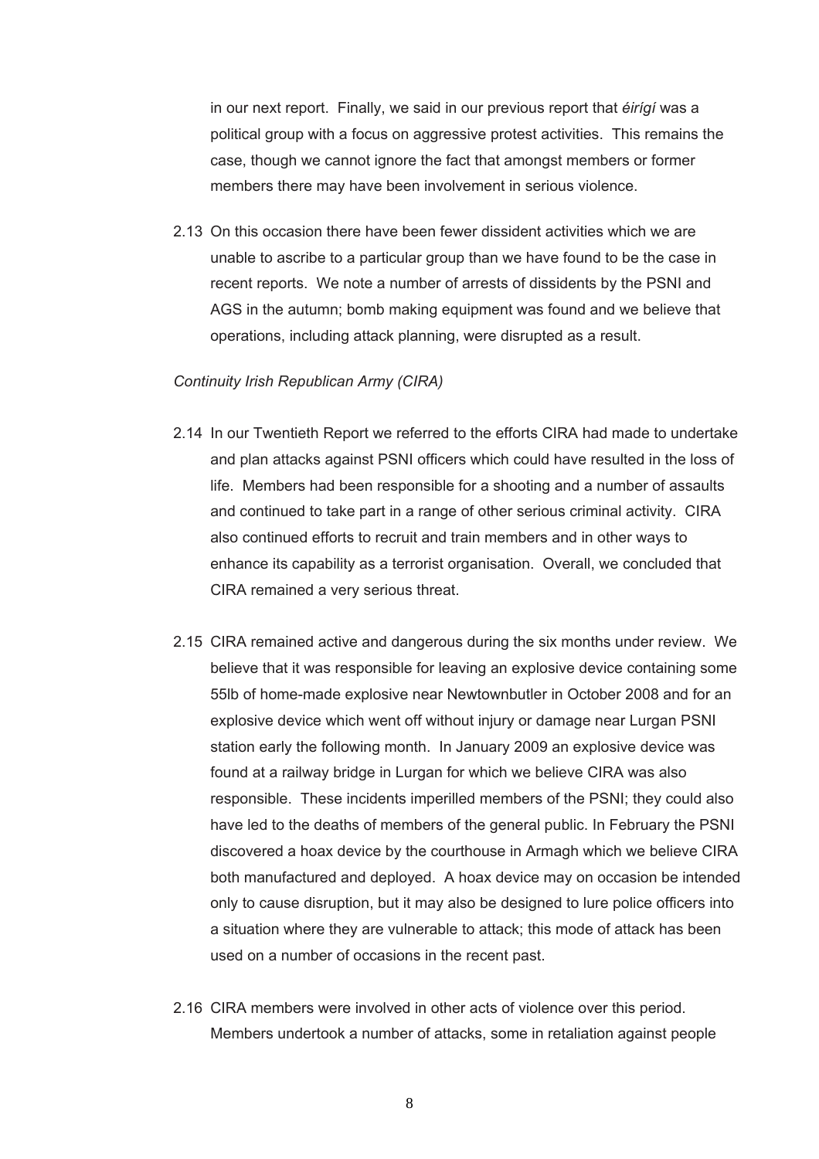in our next report. Finally, we said in our previous report that *éirígí* was a political group with a focus on aggressive protest activities. This remains the case, though we cannot ignore the fact that amongst members or former members there may have been involvement in serious violence.

2.13 On this occasion there have been fewer dissident activities which we are unable to ascribe to a particular group than we have found to be the case in recent reports. We note a number of arrests of dissidents by the PSNI and AGS in the autumn; bomb making equipment was found and we believe that operations, including attack planning, were disrupted as a result.

#### *Continuity Irish Republican Army (CIRA)*

- 2.14 In our Twentieth Report we referred to the efforts CIRA had made to undertake and plan attacks against PSNI officers which could have resulted in the loss of life. Members had been responsible for a shooting and a number of assaults and continued to take part in a range of other serious criminal activity. CIRA also continued efforts to recruit and train members and in other ways to enhance its capability as a terrorist organisation. Overall, we concluded that CIRA remained a very serious threat.
- 2.15 CIRA remained active and dangerous during the six months under review. We believe that it was responsible for leaving an explosive device containing some 55lb of home-made explosive near Newtownbutler in October 2008 and for an explosive device which went off without injury or damage near Lurgan PSNI station early the following month. In January 2009 an explosive device was found at a railway bridge in Lurgan for which we believe CIRA was also responsible. These incidents imperilled members of the PSNI; they could also have led to the deaths of members of the general public. In February the PSNI discovered a hoax device by the courthouse in Armagh which we believe CIRA both manufactured and deployed. A hoax device may on occasion be intended only to cause disruption, but it may also be designed to lure police officers into a situation where they are vulnerable to attack; this mode of attack has been used on a number of occasions in the recent past.
- 2.16 CIRA members were involved in other acts of violence over this period. Members undertook a number of attacks, some in retaliation against people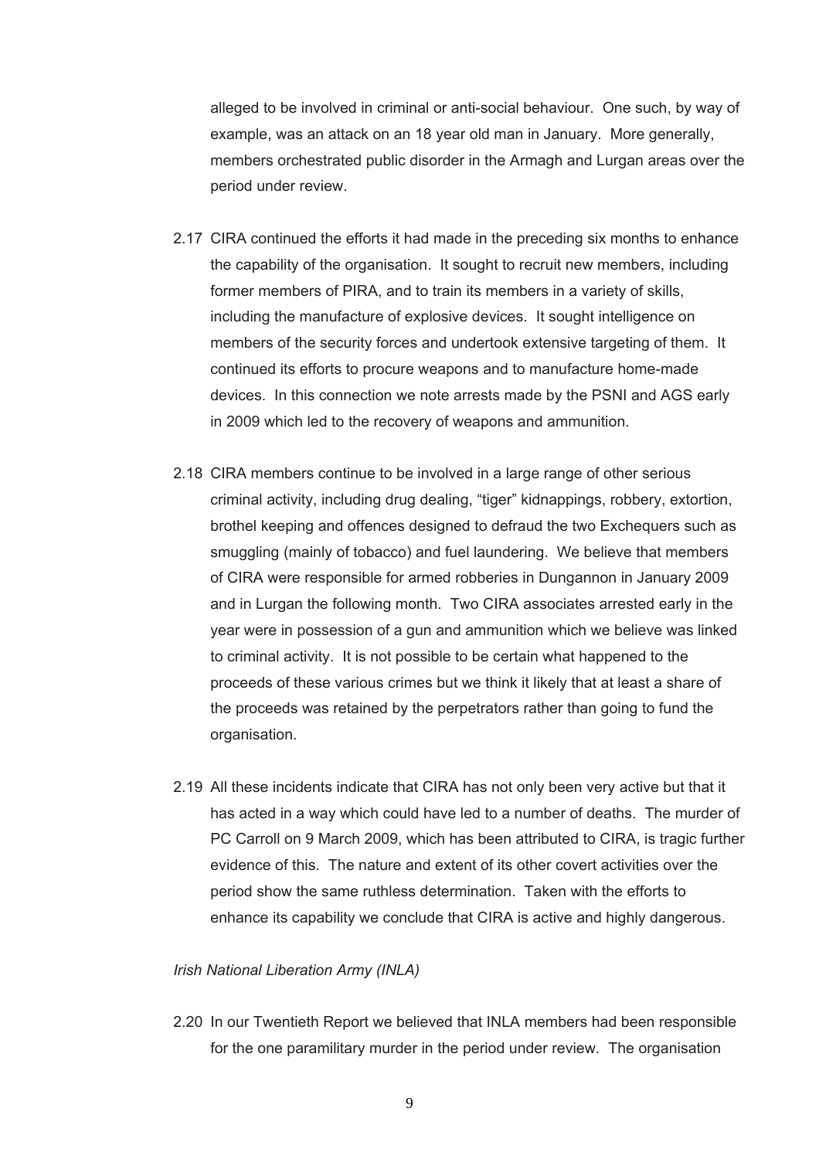alleged to be involved in criminal or anti-social behaviour. One such, by way of example, was an attack on an 18 year old man in January. More generally, members orchestrated public disorder in the Armagh and Lurgan areas over the period under review.

- 2.17 CIRA continued the efforts it had made in the preceding six months to enhance the capability of the organisation. It sought to recruit new members, including former members of PIRA, and to train its members in a variety of skills, including the manufacture of explosive devices. It sought intelligence on members of the security forces and undertook extensive targeting of them. It continued its efforts to procure weapons and to manufacture home-made devices. In this connection we note arrests made by the PSNI and AGS early in 2009 which led to the recovery of weapons and ammunition.
- 2.18 CIRA members continue to be involved in a large range of other serious criminal activity, including drug dealing, "tiger" kidnappings, robbery, extortion, brothel keeping and offences designed to defraud the two Exchequers such as smuggling (mainly of tobacco) and fuel laundering. We believe that members of CIRA were responsible for armed robberies in Dungannon in January 2009 and in Lurgan the following month. Two CIRA associates arrested early in the year were in possession of a gun and ammunition which we believe was linked to criminal activity. It is not possible to be certain what happened to the proceeds of these various crimes but we think it likely that at least a share of the proceeds was retained by the perpetrators rather than going to fund the organisation.
- 2.19 All these incidents indicate that CIRA has not only been very active but that it has acted in a way which could have led to a number of deaths. The murder of PC Carroll on 9 March 2009, which has been attributed to CIRA, is tragic further evidence of this. The nature and extent of its other covert activities over the period show the same ruthless determination. Taken with the efforts to enhance its capability we conclude that CIRA is active and highly dangerous.

#### *Irish National Liberation Army (INLA)*

2.20 In our Twentieth Report we believed that INLA members had been responsible for the one paramilitary murder in the period under review. The organisation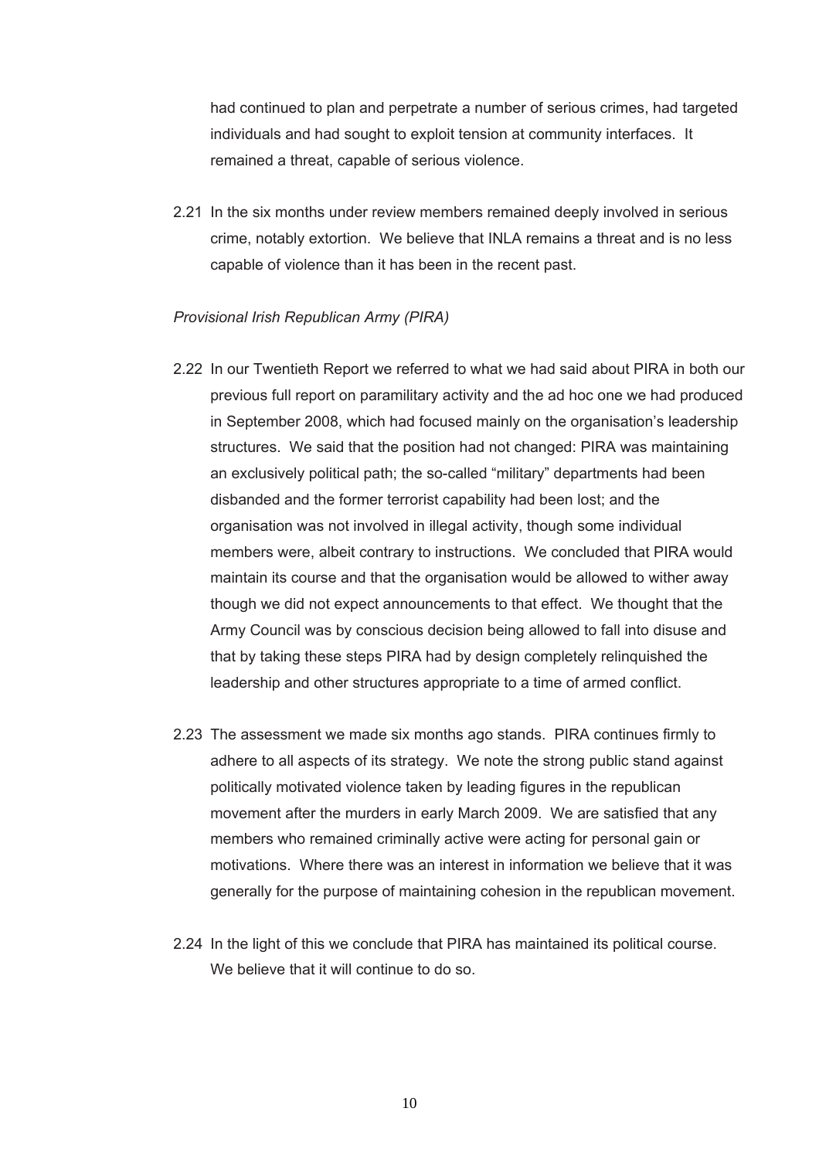had continued to plan and perpetrate a number of serious crimes, had targeted individuals and had sought to exploit tension at community interfaces. It remained a threat, capable of serious violence.

2.21 In the six months under review members remained deeply involved in serious crime, notably extortion. We believe that INLA remains a threat and is no less capable of violence than it has been in the recent past.

#### *Provisional Irish Republican Army (PIRA)*

- 2.22 In our Twentieth Report we referred to what we had said about PIRA in both our previous full report on paramilitary activity and the ad hoc one we had produced in September 2008, which had focused mainly on the organisation's leadership structures. We said that the position had not changed: PIRA was maintaining an exclusively political path; the so-called "military" departments had been disbanded and the former terrorist capability had been lost; and the organisation was not involved in illegal activity, though some individual members were, albeit contrary to instructions. We concluded that PIRA would maintain its course and that the organisation would be allowed to wither away though we did not expect announcements to that effect. We thought that the Army Council was by conscious decision being allowed to fall into disuse and that by taking these steps PIRA had by design completely relinquished the leadership and other structures appropriate to a time of armed conflict.
- 2.23 The assessment we made six months ago stands. PIRA continues firmly to adhere to all aspects of its strategy. We note the strong public stand against politically motivated violence taken by leading figures in the republican movement after the murders in early March 2009. We are satisfied that any members who remained criminally active were acting for personal gain or motivations. Where there was an interest in information we believe that it was generally for the purpose of maintaining cohesion in the republican movement.
- 2.24 In the light of this we conclude that PIRA has maintained its political course. We believe that it will continue to do so.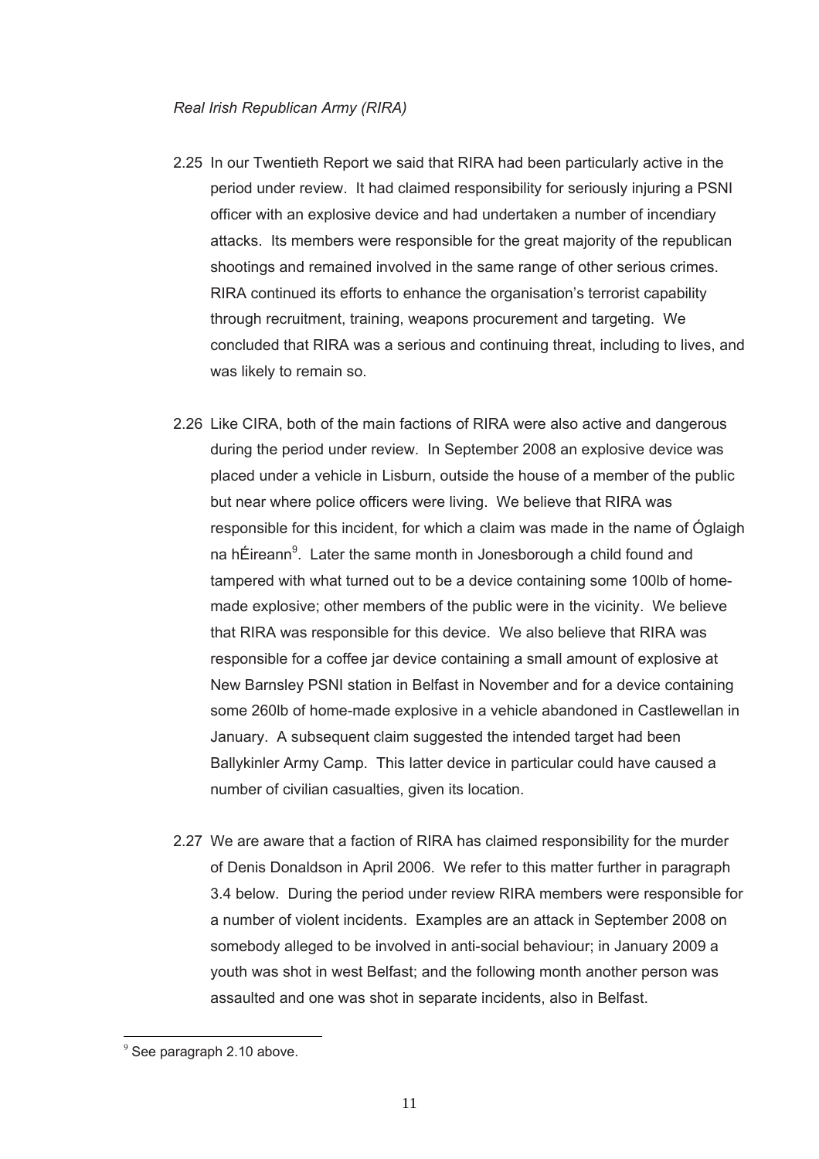#### *Real Irish Republican Army (RIRA)*

- 2.25 In our Twentieth Report we said that RIRA had been particularly active in the period under review. It had claimed responsibility for seriously injuring a PSNI officer with an explosive device and had undertaken a number of incendiary attacks. Its members were responsible for the great majority of the republican shootings and remained involved in the same range of other serious crimes. RIRA continued its efforts to enhance the organisation's terrorist capability through recruitment, training, weapons procurement and targeting. We concluded that RIRA was a serious and continuing threat, including to lives, and was likely to remain so.
- 2.26 Like CIRA, both of the main factions of RIRA were also active and dangerous during the period under review. In September 2008 an explosive device was placed under a vehicle in Lisburn, outside the house of a member of the public but near where police officers were living. We believe that RIRA was responsible for this incident, for which a claim was made in the name of Óglaigh na hÉireann<sup>9</sup>. Later the same month in Jonesborough a child found and tampered with what turned out to be a device containing some 100lb of homemade explosive; other members of the public were in the vicinity. We believe that RIRA was responsible for this device. We also believe that RIRA was responsible for a coffee jar device containing a small amount of explosive at New Barnsley PSNI station in Belfast in November and for a device containing some 260lb of home-made explosive in a vehicle abandoned in Castlewellan in January. A subsequent claim suggested the intended target had been Ballykinler Army Camp. This latter device in particular could have caused a number of civilian casualties, given its location.
- 2.27 We are aware that a faction of RIRA has claimed responsibility for the murder of Denis Donaldson in April 2006. We refer to this matter further in paragraph 3.4 below. During the period under review RIRA members were responsible for a number of violent incidents. Examples are an attack in September 2008 on somebody alleged to be involved in anti-social behaviour; in January 2009 a youth was shot in west Belfast; and the following month another person was assaulted and one was shot in separate incidents, also in Belfast.

 $\overline{a}$ 

 $9$  See paragraph 2.10 above.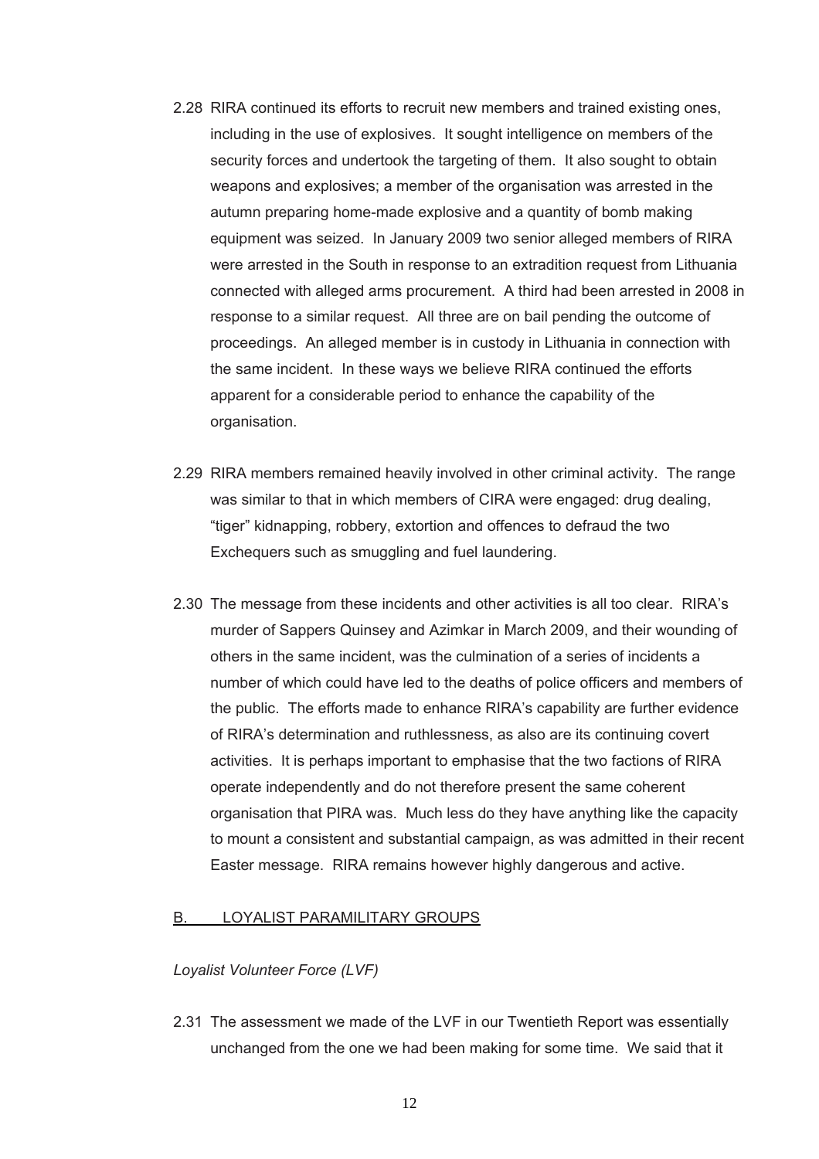- 2.28 RIRA continued its efforts to recruit new members and trained existing ones, including in the use of explosives. It sought intelligence on members of the security forces and undertook the targeting of them. It also sought to obtain weapons and explosives; a member of the organisation was arrested in the autumn preparing home-made explosive and a quantity of bomb making equipment was seized. In January 2009 two senior alleged members of RIRA were arrested in the South in response to an extradition request from Lithuania connected with alleged arms procurement. A third had been arrested in 2008 in response to a similar request. All three are on bail pending the outcome of proceedings. An alleged member is in custody in Lithuania in connection with the same incident. In these ways we believe RIRA continued the efforts apparent for a considerable period to enhance the capability of the organisation.
- 2.29 RIRA members remained heavily involved in other criminal activity. The range was similar to that in which members of CIRA were engaged: drug dealing, "tiger" kidnapping, robbery, extortion and offences to defraud the two Exchequers such as smuggling and fuel laundering.
- 2.30 The message from these incidents and other activities is all too clear. RIRA's murder of Sappers Quinsey and Azimkar in March 2009, and their wounding of others in the same incident, was the culmination of a series of incidents a number of which could have led to the deaths of police officers and members of the public. The efforts made to enhance RIRA's capability are further evidence of RIRA's determination and ruthlessness, as also are its continuing covert activities. It is perhaps important to emphasise that the two factions of RIRA operate independently and do not therefore present the same coherent organisation that PIRA was. Much less do they have anything like the capacity to mount a consistent and substantial campaign, as was admitted in their recent Easter message. RIRA remains however highly dangerous and active.

#### B. LOYALIST PARAMILITARY GROUPS

#### *Loyalist Volunteer Force (LVF)*

2.31 The assessment we made of the LVF in our Twentieth Report was essentially unchanged from the one we had been making for some time. We said that it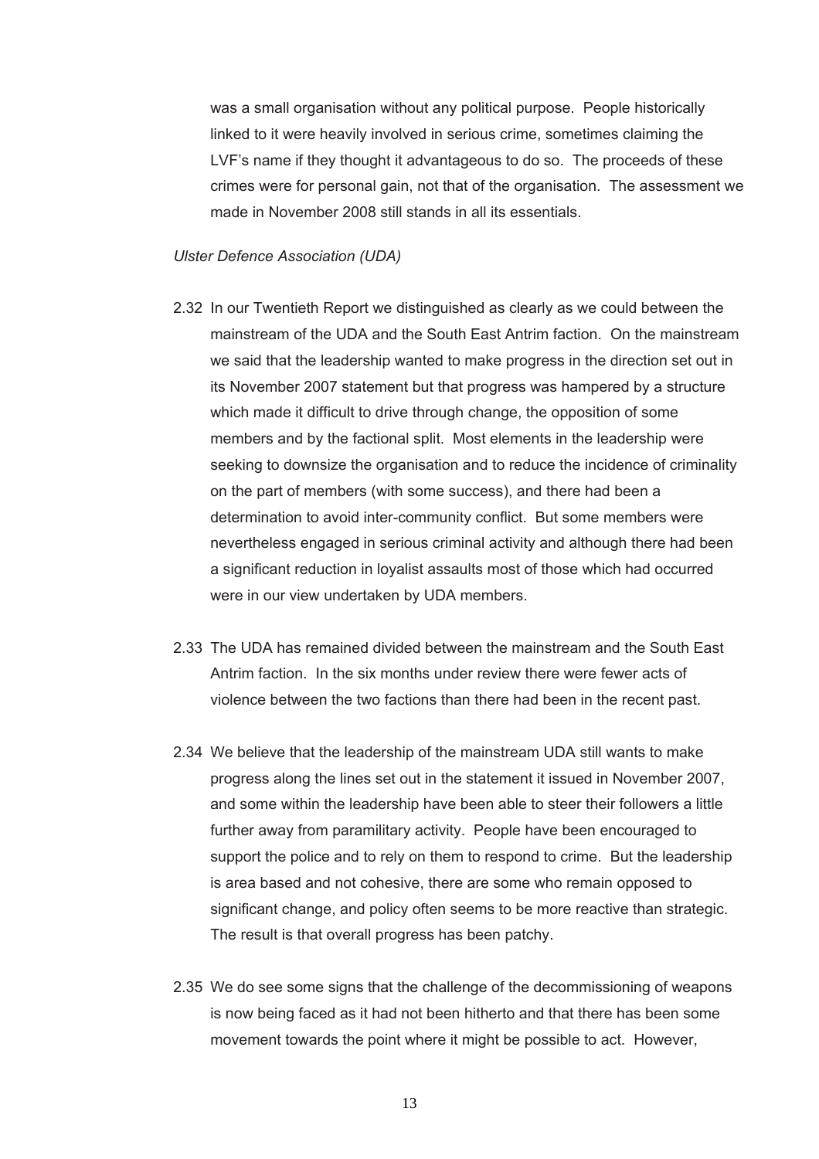was a small organisation without any political purpose. People historically linked to it were heavily involved in serious crime, sometimes claiming the LVF's name if they thought it advantageous to do so. The proceeds of these crimes were for personal gain, not that of the organisation. The assessment we made in November 2008 still stands in all its essentials.

#### *Ulster Defence Association (UDA)*

- 2.32 In our Twentieth Report we distinguished as clearly as we could between the mainstream of the UDA and the South East Antrim faction. On the mainstream we said that the leadership wanted to make progress in the direction set out in its November 2007 statement but that progress was hampered by a structure which made it difficult to drive through change, the opposition of some members and by the factional split. Most elements in the leadership were seeking to downsize the organisation and to reduce the incidence of criminality on the part of members (with some success), and there had been a determination to avoid inter-community conflict. But some members were nevertheless engaged in serious criminal activity and although there had been a significant reduction in loyalist assaults most of those which had occurred were in our view undertaken by UDA members.
- 2.33 The UDA has remained divided between the mainstream and the South East Antrim faction. In the six months under review there were fewer acts of violence between the two factions than there had been in the recent past.
- 2.34 We believe that the leadership of the mainstream UDA still wants to make progress along the lines set out in the statement it issued in November 2007, and some within the leadership have been able to steer their followers a little further away from paramilitary activity. People have been encouraged to support the police and to rely on them to respond to crime. But the leadership is area based and not cohesive, there are some who remain opposed to significant change, and policy often seems to be more reactive than strategic. The result is that overall progress has been patchy.
- 2.35 We do see some signs that the challenge of the decommissioning of weapons is now being faced as it had not been hitherto and that there has been some movement towards the point where it might be possible to act. However,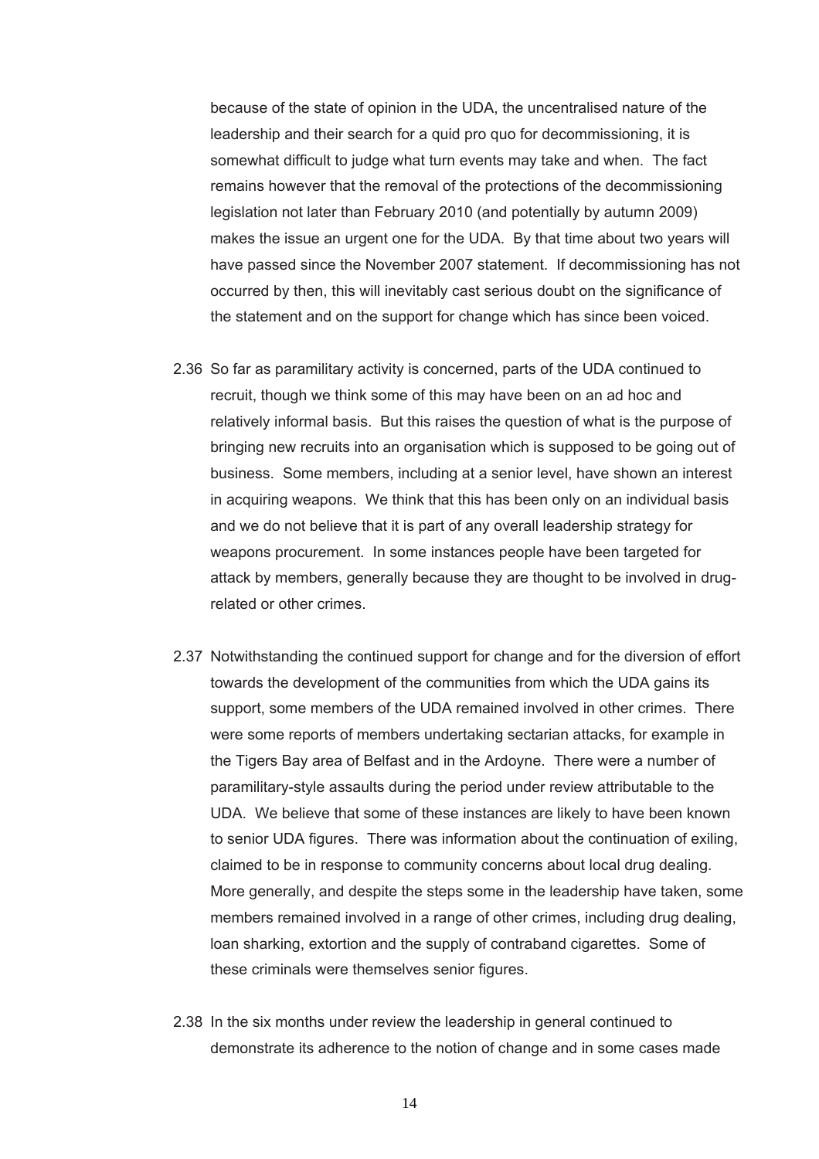because of the state of opinion in the UDA, the uncentralised nature of the leadership and their search for a quid pro quo for decommissioning, it is somewhat difficult to judge what turn events may take and when. The fact remains however that the removal of the protections of the decommissioning legislation not later than February 2010 (and potentially by autumn 2009) makes the issue an urgent one for the UDA. By that time about two years will have passed since the November 2007 statement. If decommissioning has not occurred by then, this will inevitably cast serious doubt on the significance of the statement and on the support for change which has since been voiced.

- 2.36 So far as paramilitary activity is concerned, parts of the UDA continued to recruit, though we think some of this may have been on an ad hoc and relatively informal basis. But this raises the question of what is the purpose of bringing new recruits into an organisation which is supposed to be going out of business. Some members, including at a senior level, have shown an interest in acquiring weapons. We think that this has been only on an individual basis and we do not believe that it is part of any overall leadership strategy for weapons procurement. In some instances people have been targeted for attack by members, generally because they are thought to be involved in drugrelated or other crimes.
- 2.37 Notwithstanding the continued support for change and for the diversion of effort towards the development of the communities from which the UDA gains its support, some members of the UDA remained involved in other crimes. There were some reports of members undertaking sectarian attacks, for example in the Tigers Bay area of Belfast and in the Ardoyne. There were a number of paramilitary-style assaults during the period under review attributable to the UDA. We believe that some of these instances are likely to have been known to senior UDA figures. There was information about the continuation of exiling, claimed to be in response to community concerns about local drug dealing. More generally, and despite the steps some in the leadership have taken, some members remained involved in a range of other crimes, including drug dealing, loan sharking, extortion and the supply of contraband cigarettes. Some of these criminals were themselves senior figures.
- 2.38 In the six months under review the leadership in general continued to demonstrate its adherence to the notion of change and in some cases made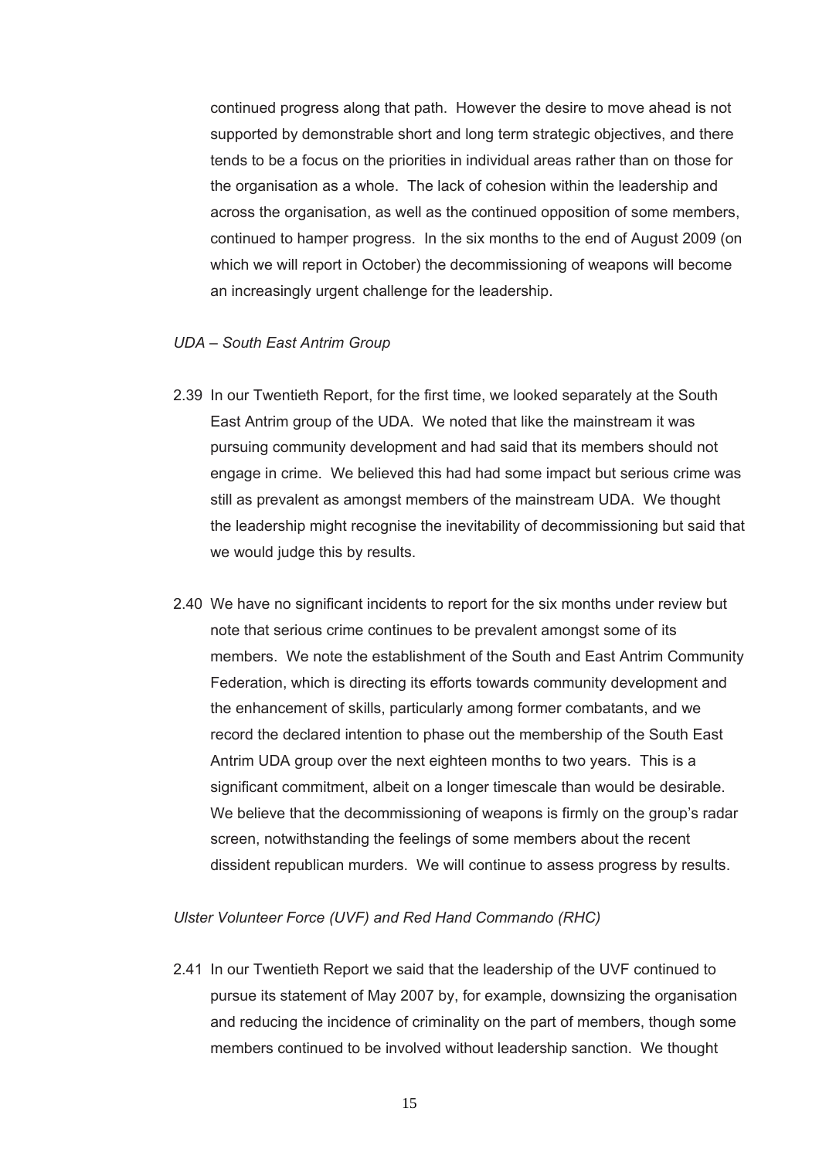continued progress along that path. However the desire to move ahead is not supported by demonstrable short and long term strategic objectives, and there tends to be a focus on the priorities in individual areas rather than on those for the organisation as a whole. The lack of cohesion within the leadership and across the organisation, as well as the continued opposition of some members, continued to hamper progress. In the six months to the end of August 2009 (on which we will report in October) the decommissioning of weapons will become an increasingly urgent challenge for the leadership.

#### *UDA – South East Antrim Group*

- 2.39 In our Twentieth Report, for the first time, we looked separately at the South East Antrim group of the UDA. We noted that like the mainstream it was pursuing community development and had said that its members should not engage in crime. We believed this had had some impact but serious crime was still as prevalent as amongst members of the mainstream UDA. We thought the leadership might recognise the inevitability of decommissioning but said that we would judge this by results.
- 2.40 We have no significant incidents to report for the six months under review but note that serious crime continues to be prevalent amongst some of its members. We note the establishment of the South and East Antrim Community Federation, which is directing its efforts towards community development and the enhancement of skills, particularly among former combatants, and we record the declared intention to phase out the membership of the South East Antrim UDA group over the next eighteen months to two years. This is a significant commitment, albeit on a longer timescale than would be desirable. We believe that the decommissioning of weapons is firmly on the group's radar screen, notwithstanding the feelings of some members about the recent dissident republican murders. We will continue to assess progress by results.

#### *Ulster Volunteer Force (UVF) and Red Hand Commando (RHC)*

2.41 In our Twentieth Report we said that the leadership of the UVF continued to pursue its statement of May 2007 by, for example, downsizing the organisation and reducing the incidence of criminality on the part of members, though some members continued to be involved without leadership sanction. We thought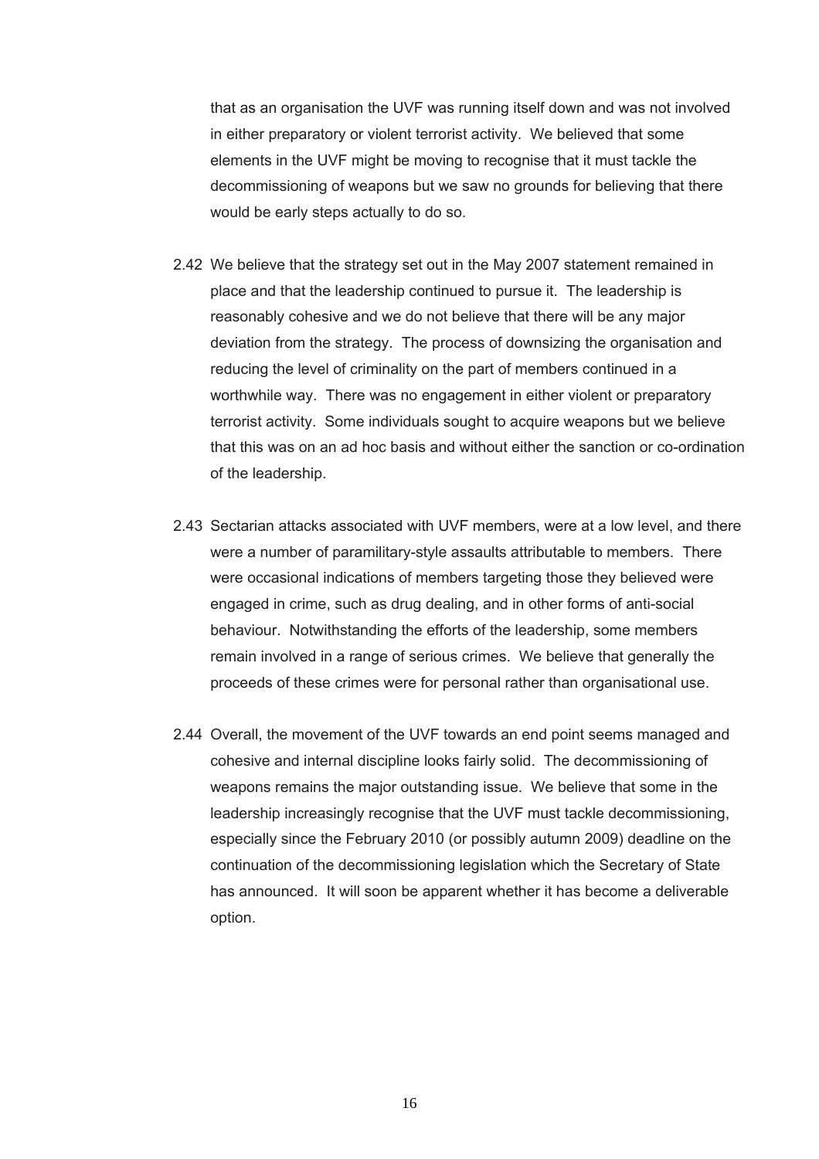that as an organisation the UVF was running itself down and was not involved in either preparatory or violent terrorist activity. We believed that some elements in the UVF might be moving to recognise that it must tackle the decommissioning of weapons but we saw no grounds for believing that there would be early steps actually to do so.

- 2.42 We believe that the strategy set out in the May 2007 statement remained in place and that the leadership continued to pursue it. The leadership is reasonably cohesive and we do not believe that there will be any major deviation from the strategy. The process of downsizing the organisation and reducing the level of criminality on the part of members continued in a worthwhile way. There was no engagement in either violent or preparatory terrorist activity. Some individuals sought to acquire weapons but we believe that this was on an ad hoc basis and without either the sanction or co-ordination of the leadership.
- 2.43 Sectarian attacks associated with UVF members, were at a low level, and there were a number of paramilitary-style assaults attributable to members. There were occasional indications of members targeting those they believed were engaged in crime, such as drug dealing, and in other forms of anti-social behaviour. Notwithstanding the efforts of the leadership, some members remain involved in a range of serious crimes. We believe that generally the proceeds of these crimes were for personal rather than organisational use.
- 2.44 Overall, the movement of the UVF towards an end point seems managed and cohesive and internal discipline looks fairly solid. The decommissioning of weapons remains the major outstanding issue. We believe that some in the leadership increasingly recognise that the UVF must tackle decommissioning, especially since the February 2010 (or possibly autumn 2009) deadline on the continuation of the decommissioning legislation which the Secretary of State has announced. It will soon be apparent whether it has become a deliverable option.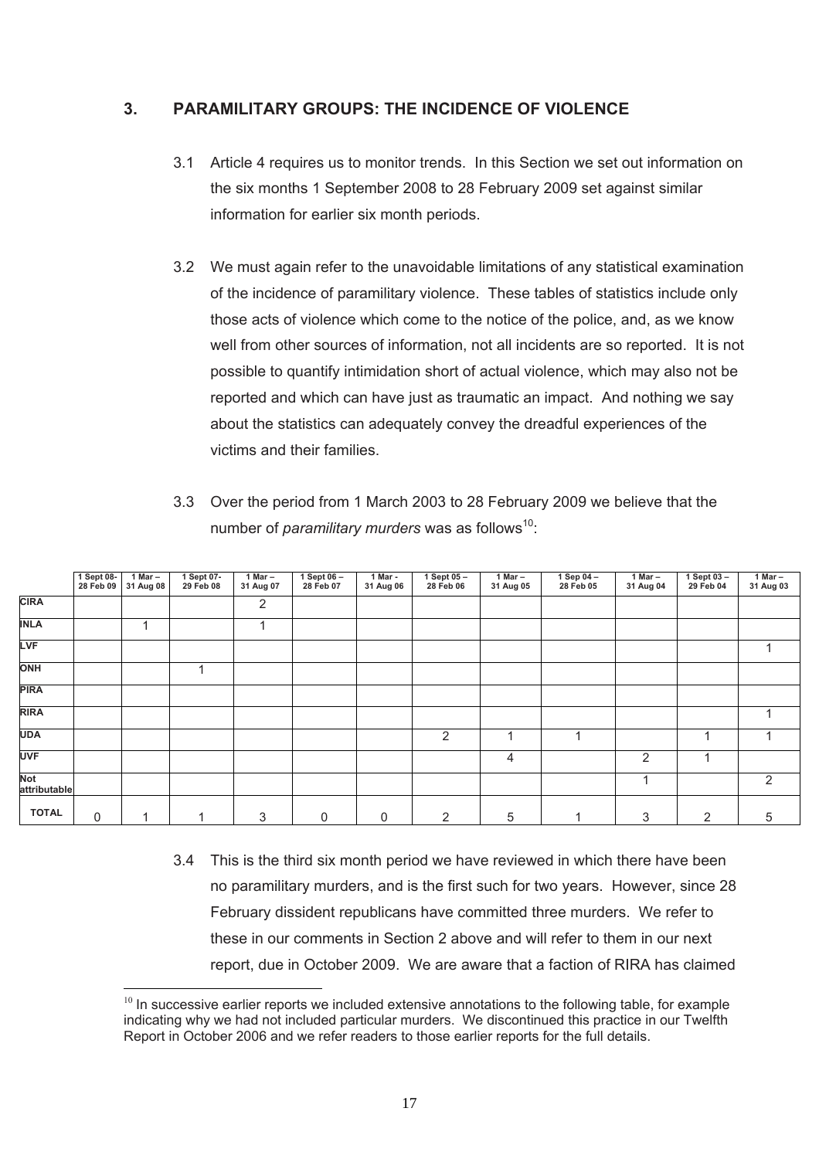# **3. PARAMILITARY GROUPS: THE INCIDENCE OF VIOLENCE**

- 3.1 Article 4 requires us to monitor trends. In this Section we set out information on the six months 1 September 2008 to 28 February 2009 set against similar information for earlier six month periods.
- 3.2 We must again refer to the unavoidable limitations of any statistical examination of the incidence of paramilitary violence. These tables of statistics include only those acts of violence which come to the notice of the police, and, as we know well from other sources of information, not all incidents are so reported. It is not possible to quantify intimidation short of actual violence, which may also not be reported and which can have just as traumatic an impact. And nothing we say about the statistics can adequately convey the dreadful experiences of the victims and their families.

|                     | 1 Sept 08-<br>28 Feb 09 | 1 Mar $-$<br>31 Aug 08  | 1 Sept 07-<br>29 Feb 08 | $1$ Mar $-$<br>31 Aug 07 | 1 Sept 06 -<br>28 Feb 07 | 1 Mar -<br>31 Aug 06 | 1 Sept 05-<br>28 Feb 06 | 1 Mar $-$<br>31 Aug 05 | 1 Sep 04 -<br>28 Feb 05 | 1 Mar $-$<br>31 Aug 04 | 1 Sept 03 -<br>29 Feb 04 | 1 Mar $-$<br>31 Aug 03 |
|---------------------|-------------------------|-------------------------|-------------------------|--------------------------|--------------------------|----------------------|-------------------------|------------------------|-------------------------|------------------------|--------------------------|------------------------|
| <b>CIRA</b>         |                         |                         |                         | 2                        |                          |                      |                         |                        |                         |                        |                          |                        |
| <b>INLA</b>         |                         | $\overline{\mathbf{A}}$ |                         | 4                        |                          |                      |                         |                        |                         |                        |                          |                        |
| LVF                 |                         |                         |                         |                          |                          |                      |                         |                        |                         |                        |                          |                        |
| ONH                 |                         |                         |                         |                          |                          |                      |                         |                        |                         |                        |                          |                        |
| <b>PIRA</b>         |                         |                         |                         |                          |                          |                      |                         |                        |                         |                        |                          |                        |
| <b>RIRA</b>         |                         |                         |                         |                          |                          |                      |                         |                        |                         |                        |                          |                        |
| UDA                 |                         |                         |                         |                          |                          |                      | 2                       | ٠                      | и                       |                        |                          |                        |
| UVF                 |                         |                         |                         |                          |                          |                      |                         | $\overline{4}$         |                         | 2                      |                          |                        |
| Not<br>attributable |                         |                         |                         |                          |                          |                      |                         |                        |                         |                        |                          | $\overline{2}$         |
| <b>TOTAL</b>        | 0                       |                         |                         | 3                        | 0                        | 0                    | 2                       | 5                      |                         | 3                      | 2                        | 5                      |

 $\overline{a}$ 

3.3 Over the period from 1 March 2003 to 28 February 2009 we believe that the number of *paramilitary murders* was as follows<sup>10</sup>:

3.4 This is the third six month period we have reviewed in which there have been no paramilitary murders, and is the first such for two years. However, since 28 February dissident republicans have committed three murders. We refer to these in our comments in Section 2 above and will refer to them in our next report, due in October 2009. We are aware that a faction of RIRA has claimed

 $10$  In successive earlier reports we included extensive annotations to the following table, for example indicating why we had not included particular murders. We discontinued this practice in our Twelfth Report in October 2006 and we refer readers to those earlier reports for the full details.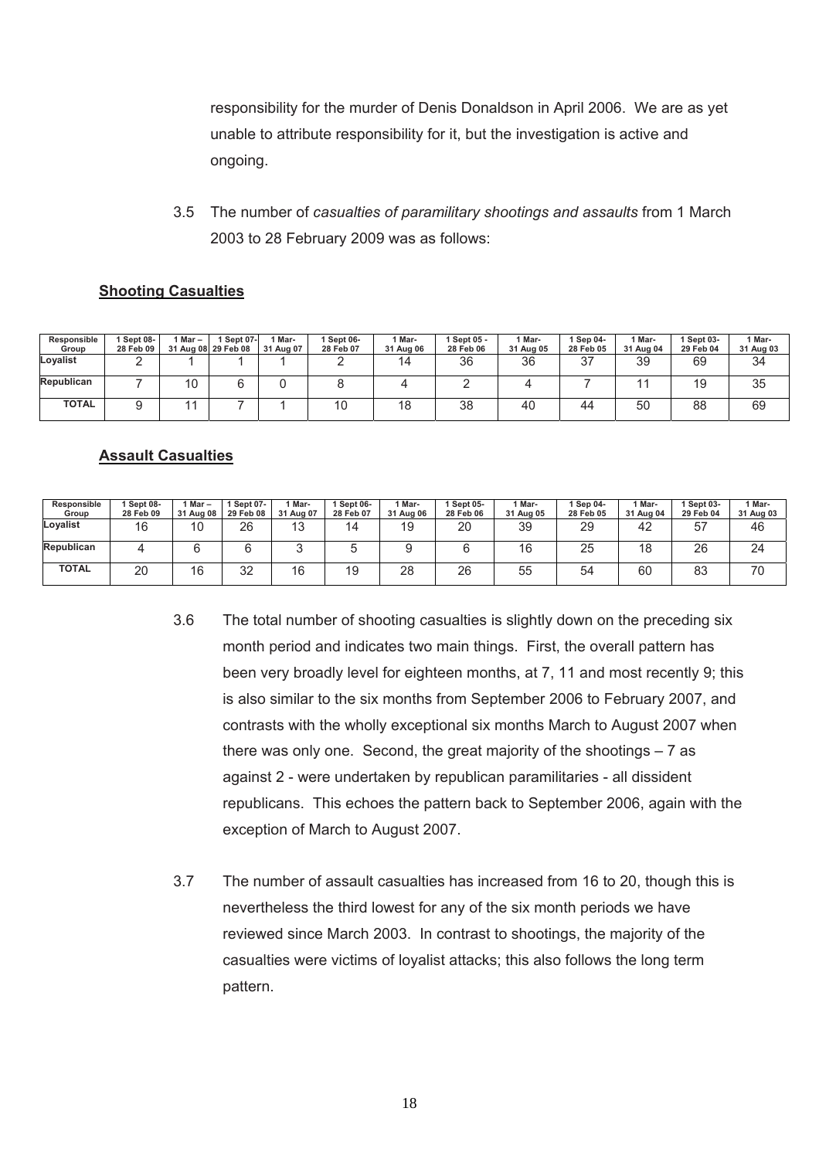responsibility for the murder of Denis Donaldson in April 2006. We are as yet unable to attribute responsibility for it, but the investigation is active and ongoing.

3.5 The number of *casualties of paramilitary shootings and assaults* from 1 March 2003 to 28 February 2009 was as follows:

#### **Shooting Casualties**

| Responsible<br>Group | Sept 08-<br>28 Feb 09 | $^4$ Mar $-$ | <b>Sept 07-</b><br>31 Aug 08 29 Feb 08 | Mar-<br>31 Aug 07 | <b>Sept 06-</b><br>28 Feb 07 | 1 Mar-<br>31 Aug 06 | 1 Sept 05 -<br>28 Feb 06 | l Mar-<br>31 Aug 05 | Sep 04-<br>28 Feb 05 | 1 Mar-<br>31 Aug 04 | Sept 03-<br>29 Feb 04 | 1 Mar-<br>31 Aug 03 |
|----------------------|-----------------------|--------------|----------------------------------------|-------------------|------------------------------|---------------------|--------------------------|---------------------|----------------------|---------------------|-----------------------|---------------------|
| Loyalist             | ▃                     |              |                                        |                   |                              | 14                  | 36                       | 36                  | $\sim$<br>J.         | 39                  | 69                    | 34                  |
| <b>Republican</b>    |                       | u            |                                        |                   |                              |                     |                          |                     |                      |                     | 19                    | 35                  |
| <b>TOTAL</b>         |                       |              |                                        |                   | 10                           | 18                  | 38                       | 40                  | 44                   | 50                  | 88                    | 69                  |

# **Assault Casualties**

| Responsible<br>Group | Sept 08-<br>28 Feb 09 | Mar –<br>31 Aug 08 | Sept 07-<br>29 Feb 08 | Mar-<br>31 Aug 07 | Sept 06-<br>28 Feb 07 | 1 Mar-<br>31 Aug 06 | <sup>1</sup> Sept 05-<br>28 Feb 06 | l Mar-<br>31 Aug 05 | Sep 04-<br>28 Feb 05 | <sup>1</sup> Mar-<br>31 Aug 04 | Sept 03-<br>29 Feb 04 | 1 Mar-<br>31 Aug 03 |
|----------------------|-----------------------|--------------------|-----------------------|-------------------|-----------------------|---------------------|------------------------------------|---------------------|----------------------|--------------------------------|-----------------------|---------------------|
| Loyalist             | 16                    | 10                 | 26                    | 10<br>ں ا         |                       | 10<br>◡             | 20                                 | 39                  | 29                   | 42                             | 57                    | 46                  |
| <b>Republican</b>    |                       |                    | ◠                     |                   |                       |                     |                                    | 16                  | ΩE<br>∠⊾             | <b>40</b>                      | 26                    | 24                  |
| <b>TOTAL</b>         | 20                    | 16                 | つ<br>ےں               | 16                | 19                    | 28                  | 26                                 | 55                  | 54                   | 60                             | o٥<br>၀၁              | 70                  |

- 3.6 The total number of shooting casualties is slightly down on the preceding six month period and indicates two main things. First, the overall pattern has been very broadly level for eighteen months, at 7, 11 and most recently 9; this is also similar to the six months from September 2006 to February 2007, and contrasts with the wholly exceptional six months March to August 2007 when there was only one. Second, the great majority of the shootings – 7 as against 2 - were undertaken by republican paramilitaries - all dissident republicans. This echoes the pattern back to September 2006, again with the exception of March to August 2007.
- 3.7 The number of assault casualties has increased from 16 to 20, though this is nevertheless the third lowest for any of the six month periods we have reviewed since March 2003. In contrast to shootings, the majority of the casualties were victims of loyalist attacks; this also follows the long term pattern.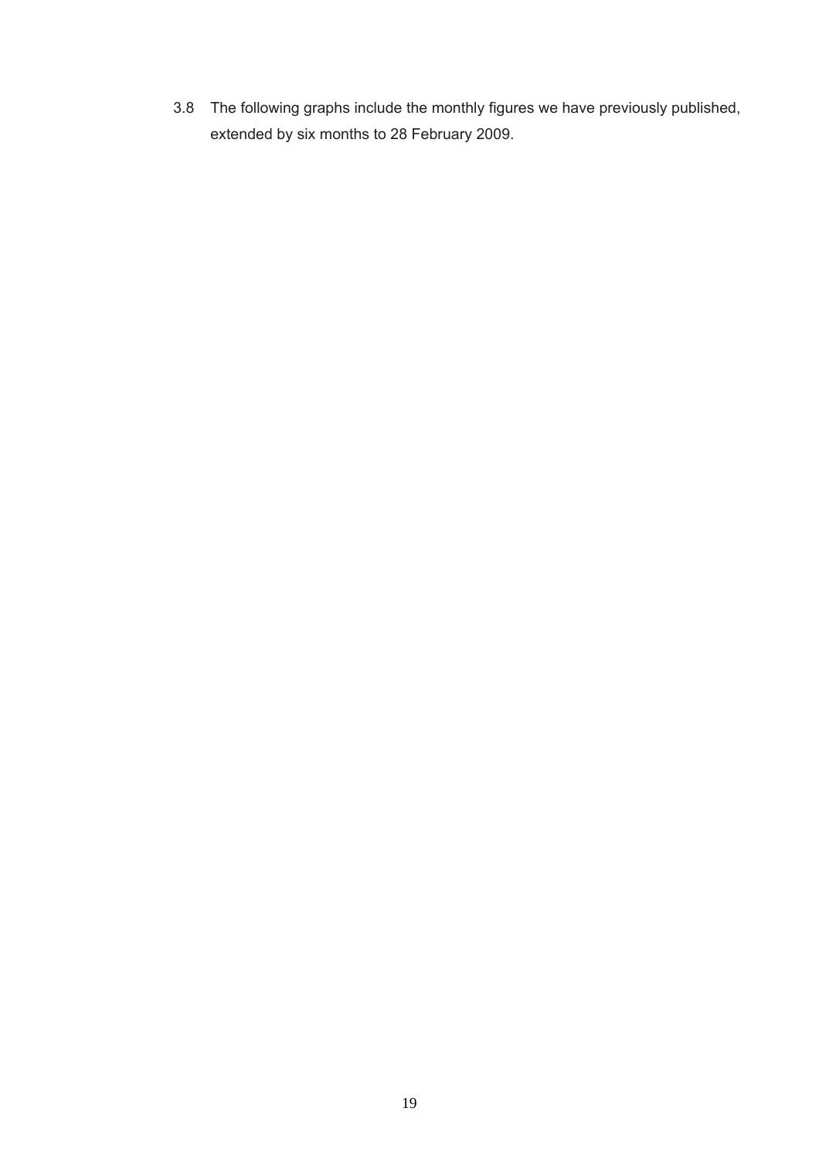3.8 The following graphs include the monthly figures we have previously published, extended by six months to 28 February 2009.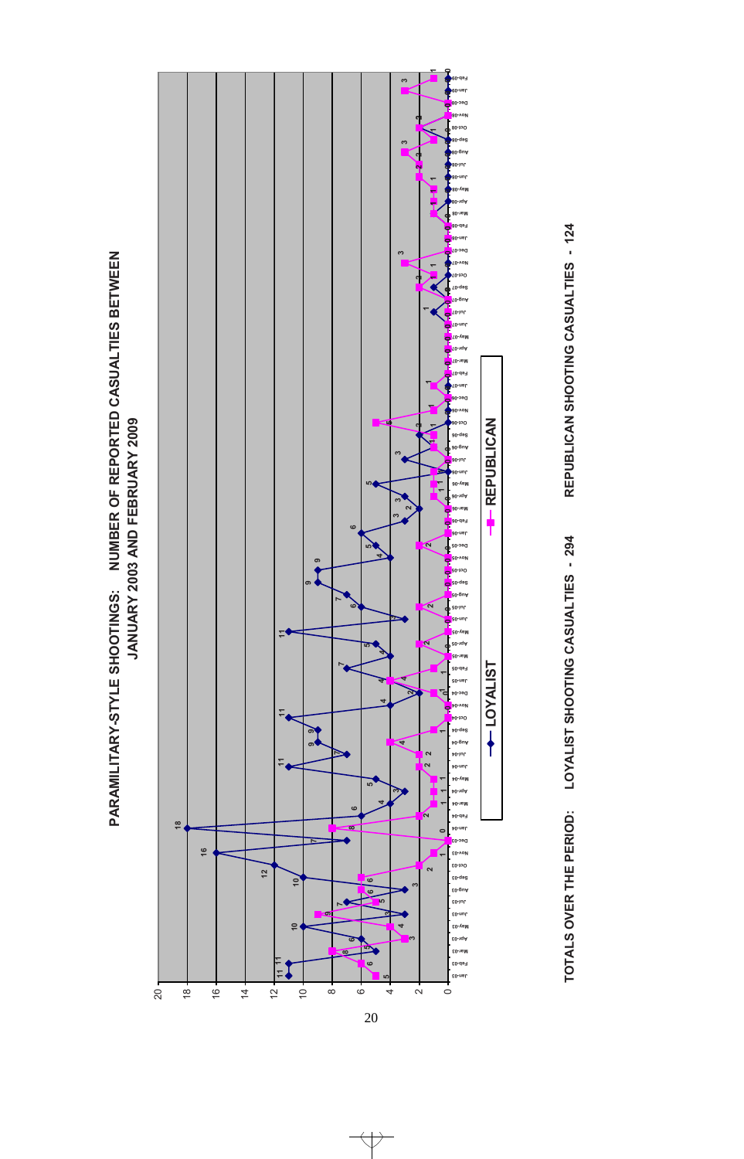





20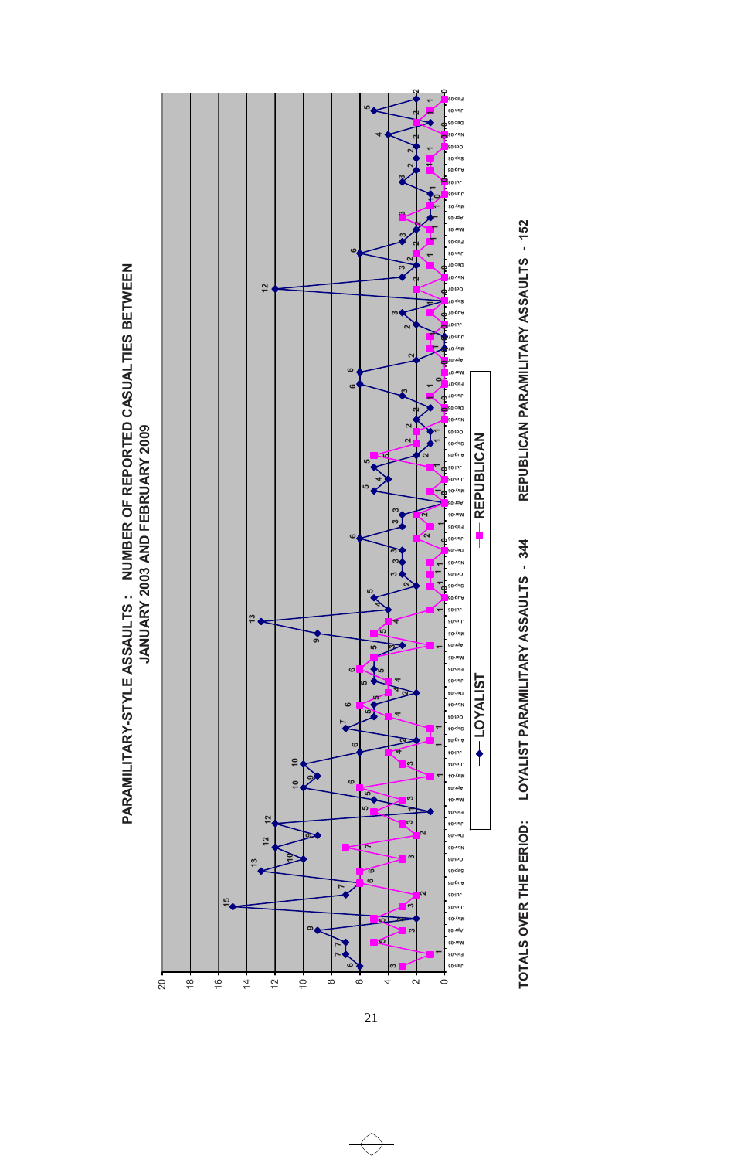





REPUBLICAN PARAMILITARY ASSAULTS - 152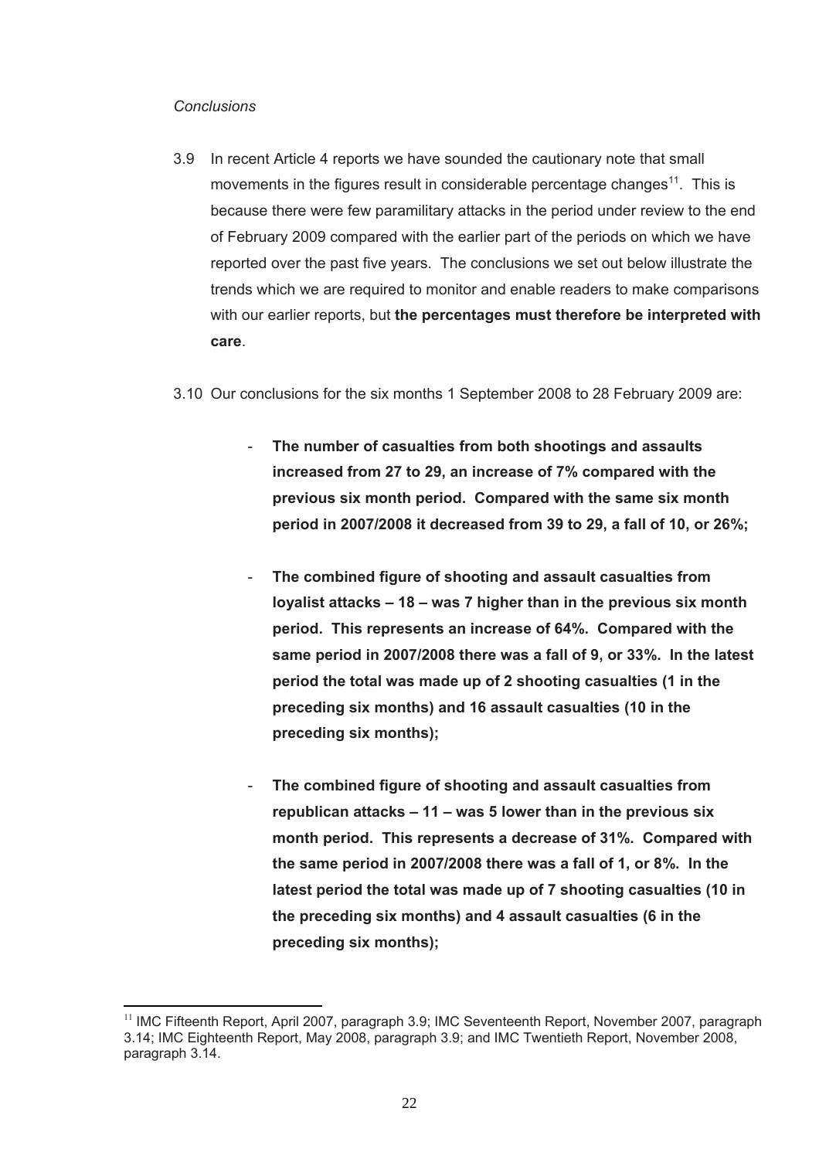#### *Conclusions*

3.9 In recent Article 4 reports we have sounded the cautionary note that small movements in the figures result in considerable percentage changes<sup>11</sup>. This is because there were few paramilitary attacks in the period under review to the end of February 2009 compared with the earlier part of the periods on which we have reported over the past five years. The conclusions we set out below illustrate the trends which we are required to monitor and enable readers to make comparisons with our earlier reports, but **the percentages must therefore be interpreted with care**.

3.10 Our conclusions for the six months 1 September 2008 to 28 February 2009 are:

- **The number of casualties from both shootings and assaults increased from 27 to 29, an increase of 7% compared with the previous six month period. Compared with the same six month period in 2007/2008 it decreased from 39 to 29, a fall of 10, or 26%;**
- **The combined figure of shooting and assault casualties from loyalist attacks – 18 – was 7 higher than in the previous six month period. This represents an increase of 64%. Compared with the same period in 2007/2008 there was a fall of 9, or 33%. In the latest period the total was made up of 2 shooting casualties (1 in the preceding six months) and 16 assault casualties (10 in the preceding six months);**
- **The combined figure of shooting and assault casualties from republican attacks – 11 – was 5 lower than in the previous six month period. This represents a decrease of 31%. Compared with the same period in 2007/2008 there was a fall of 1, or 8%. In the latest period the total was made up of 7 shooting casualties (10 in the preceding six months) and 4 assault casualties (6 in the preceding six months);**

 $\overline{a}$ <sup>11</sup> IMC Fifteenth Report, April 2007, paragraph 3.9; IMC Seventeenth Report, November 2007, paragraph 3.14; IMC Eighteenth Report, May 2008, paragraph 3.9; and IMC Twentieth Report, November 2008, paragraph 3.14.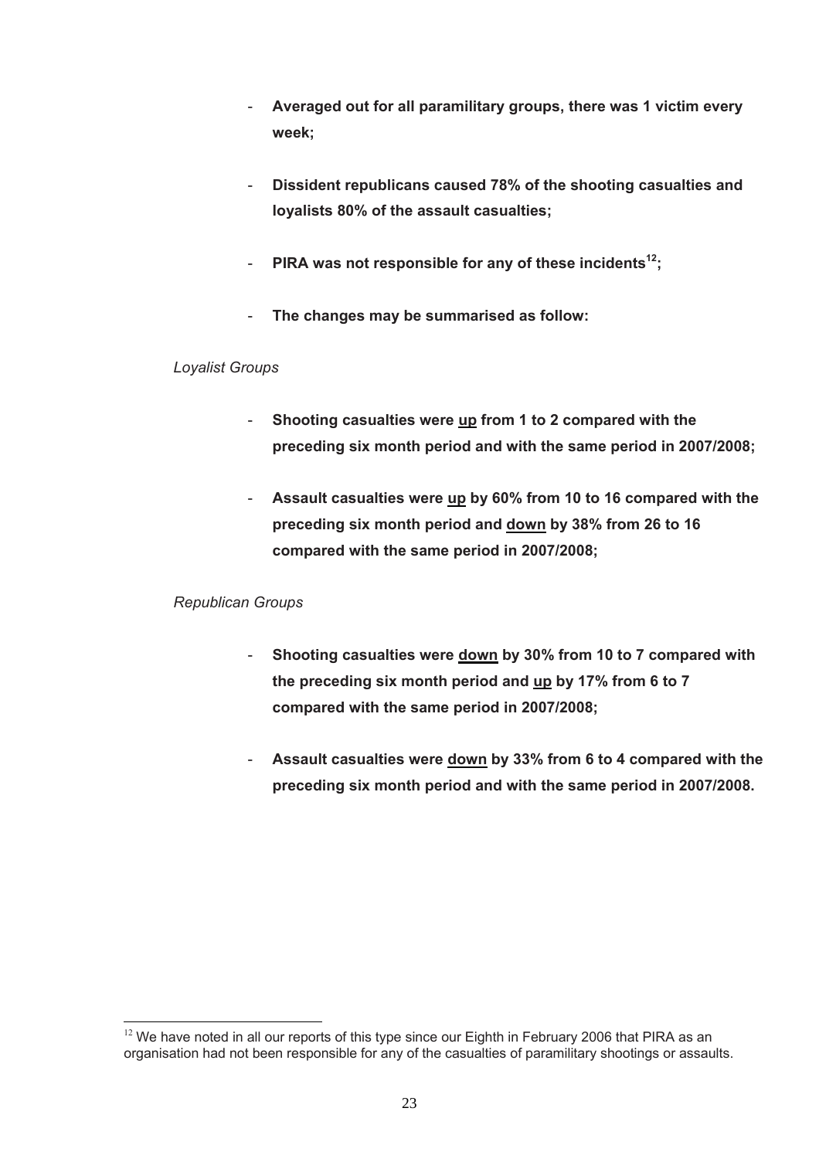- **Averaged out for all paramilitary groups, there was 1 victim every week;**
- **Dissident republicans caused 78% of the shooting casualties and loyalists 80% of the assault casualties;**
- **PIRA was not responsible for any of these incidents12;**
- **The changes may be summarised as follow:**

#### *Loyalist Groups*

- **Shooting casualties were up from 1 to 2 compared with the preceding six month period and with the same period in 2007/2008;**
- **Assault casualties were up by 60% from 10 to 16 compared with the preceding six month period and down by 38% from 26 to 16 compared with the same period in 2007/2008;**

#### *Republican Groups*

- **Shooting casualties were down by 30% from 10 to 7 compared with the preceding six month period and up by 17% from 6 to 7 compared with the same period in 2007/2008;**
- **Assault casualties were down by 33% from 6 to 4 compared with the preceding six month period and with the same period in 2007/2008.**

 $\overline{a}$  $12$  We have noted in all our reports of this type since our Eighth in February 2006 that PIRA as an organisation had not been responsible for any of the casualties of paramilitary shootings or assaults.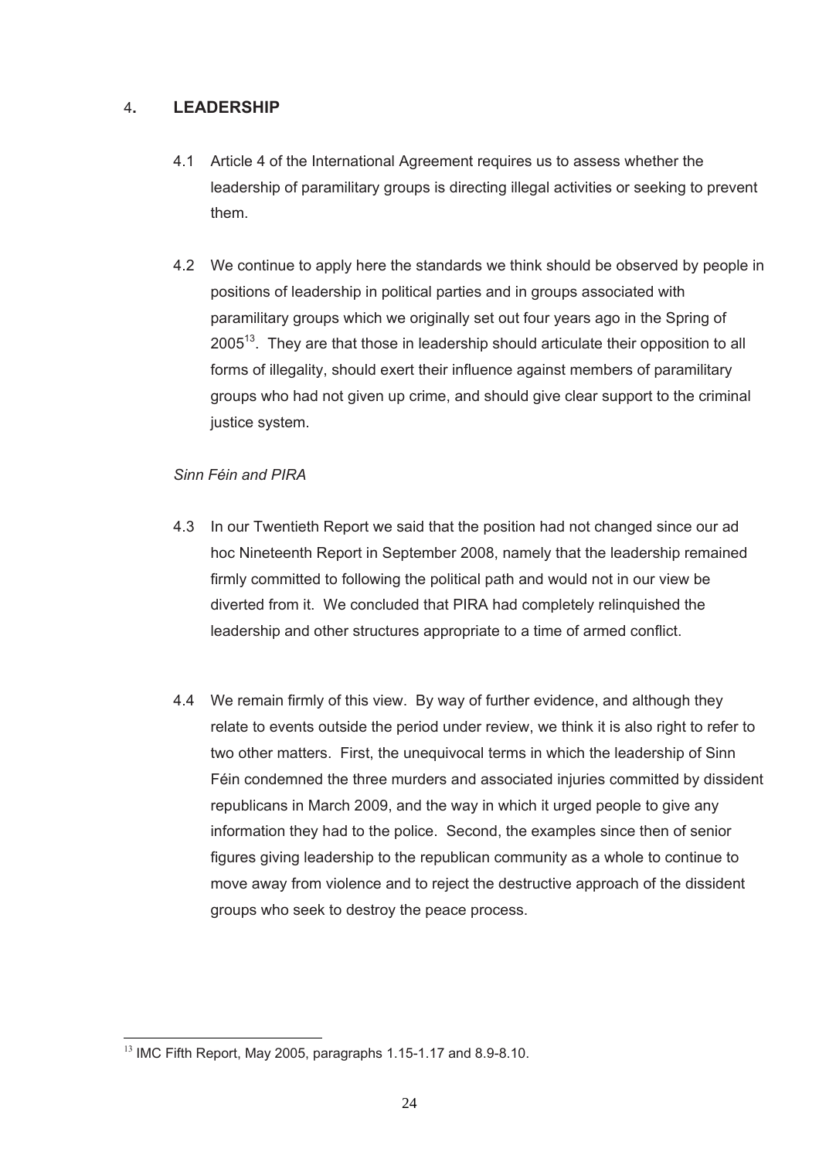## 4**. LEADERSHIP**

- 4.1 Article 4 of the International Agreement requires us to assess whether the leadership of paramilitary groups is directing illegal activities or seeking to prevent them.
- 4.2 We continue to apply here the standards we think should be observed by people in positions of leadership in political parties and in groups associated with paramilitary groups which we originally set out four years ago in the Spring of  $2005<sup>13</sup>$ . They are that those in leadership should articulate their opposition to all forms of illegality, should exert their influence against members of paramilitary groups who had not given up crime, and should give clear support to the criminal justice system.

#### *Sinn Féin and PIRA*

- 4.3 In our Twentieth Report we said that the position had not changed since our ad hoc Nineteenth Report in September 2008, namely that the leadership remained firmly committed to following the political path and would not in our view be diverted from it. We concluded that PIRA had completely relinquished the leadership and other structures appropriate to a time of armed conflict.
- 4.4 We remain firmly of this view. By way of further evidence, and although they relate to events outside the period under review, we think it is also right to refer to two other matters. First, the unequivocal terms in which the leadership of Sinn Féin condemned the three murders and associated injuries committed by dissident republicans in March 2009, and the way in which it urged people to give any information they had to the police. Second, the examples since then of senior figures giving leadership to the republican community as a whole to continue to move away from violence and to reject the destructive approach of the dissident groups who seek to destroy the peace process.

 $\overline{a}$  $13$  IMC Fifth Report, May 2005, paragraphs 1.15-1.17 and 8.9-8.10.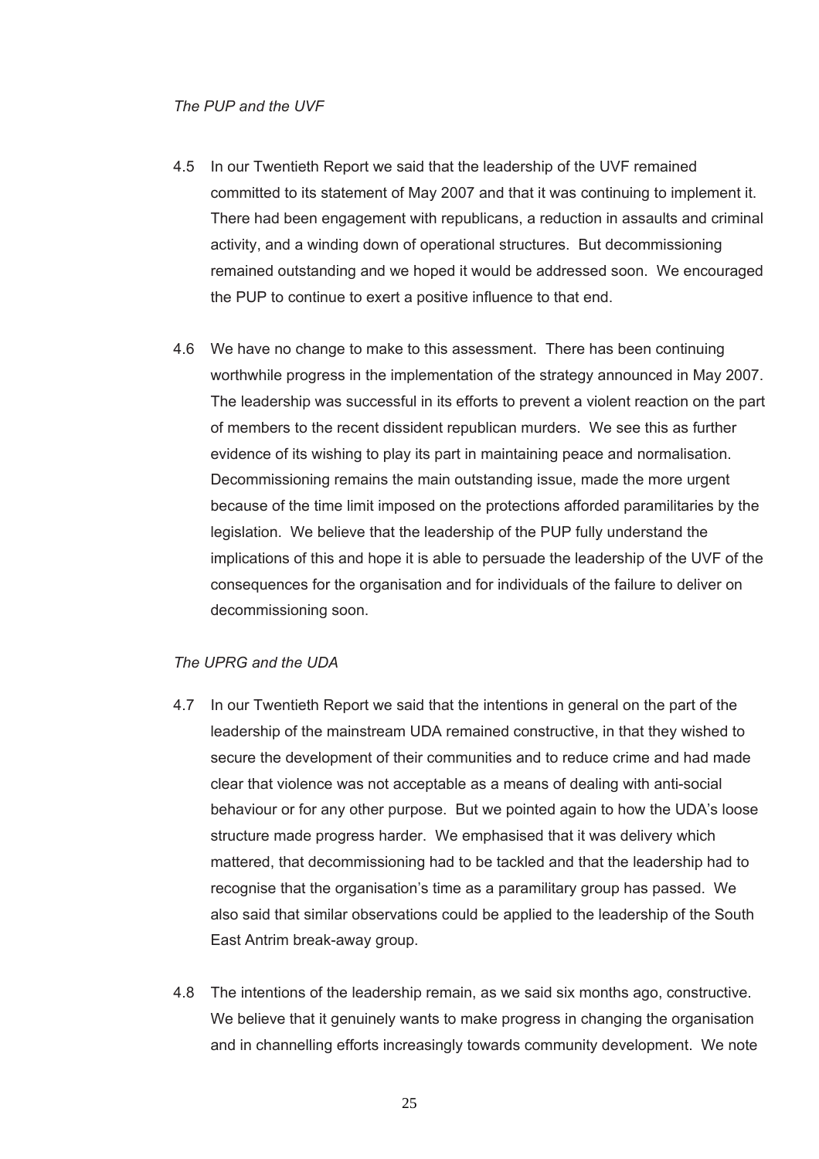#### *The PUP and the UVF*

- 4.5 In our Twentieth Report we said that the leadership of the UVF remained committed to its statement of May 2007 and that it was continuing to implement it. There had been engagement with republicans, a reduction in assaults and criminal activity, and a winding down of operational structures. But decommissioning remained outstanding and we hoped it would be addressed soon. We encouraged the PUP to continue to exert a positive influence to that end.
- 4.6 We have no change to make to this assessment. There has been continuing worthwhile progress in the implementation of the strategy announced in May 2007. The leadership was successful in its efforts to prevent a violent reaction on the part of members to the recent dissident republican murders. We see this as further evidence of its wishing to play its part in maintaining peace and normalisation. Decommissioning remains the main outstanding issue, made the more urgent because of the time limit imposed on the protections afforded paramilitaries by the legislation. We believe that the leadership of the PUP fully understand the implications of this and hope it is able to persuade the leadership of the UVF of the consequences for the organisation and for individuals of the failure to deliver on decommissioning soon.

#### *The UPRG and the UDA*

- 4.7 In our Twentieth Report we said that the intentions in general on the part of the leadership of the mainstream UDA remained constructive, in that they wished to secure the development of their communities and to reduce crime and had made clear that violence was not acceptable as a means of dealing with anti-social behaviour or for any other purpose. But we pointed again to how the UDA's loose structure made progress harder. We emphasised that it was delivery which mattered, that decommissioning had to be tackled and that the leadership had to recognise that the organisation's time as a paramilitary group has passed. We also said that similar observations could be applied to the leadership of the South East Antrim break-away group.
- 4.8 The intentions of the leadership remain, as we said six months ago, constructive. We believe that it genuinely wants to make progress in changing the organisation and in channelling efforts increasingly towards community development. We note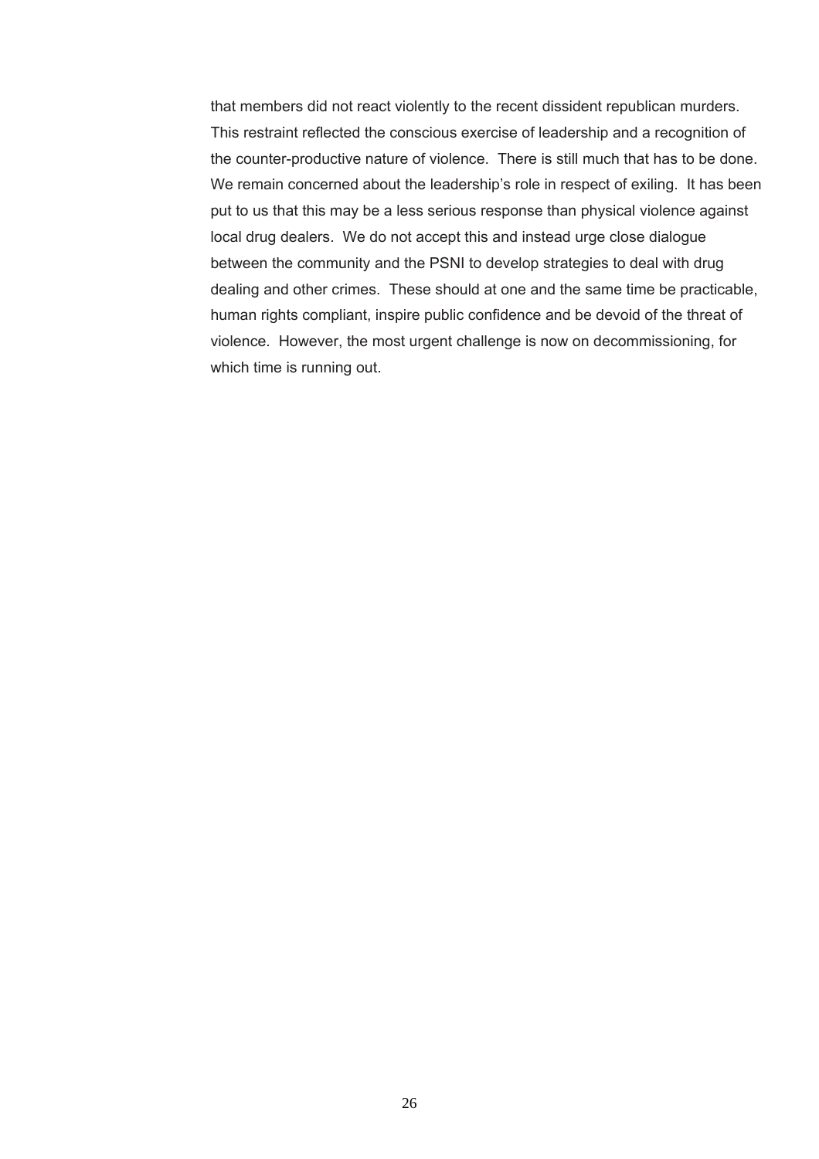that members did not react violently to the recent dissident republican murders. This restraint reflected the conscious exercise of leadership and a recognition of the counter-productive nature of violence. There is still much that has to be done. We remain concerned about the leadership's role in respect of exiling. It has been put to us that this may be a less serious response than physical violence against local drug dealers. We do not accept this and instead urge close dialogue between the community and the PSNI to develop strategies to deal with drug dealing and other crimes. These should at one and the same time be practicable, human rights compliant, inspire public confidence and be devoid of the threat of violence. However, the most urgent challenge is now on decommissioning, for which time is running out.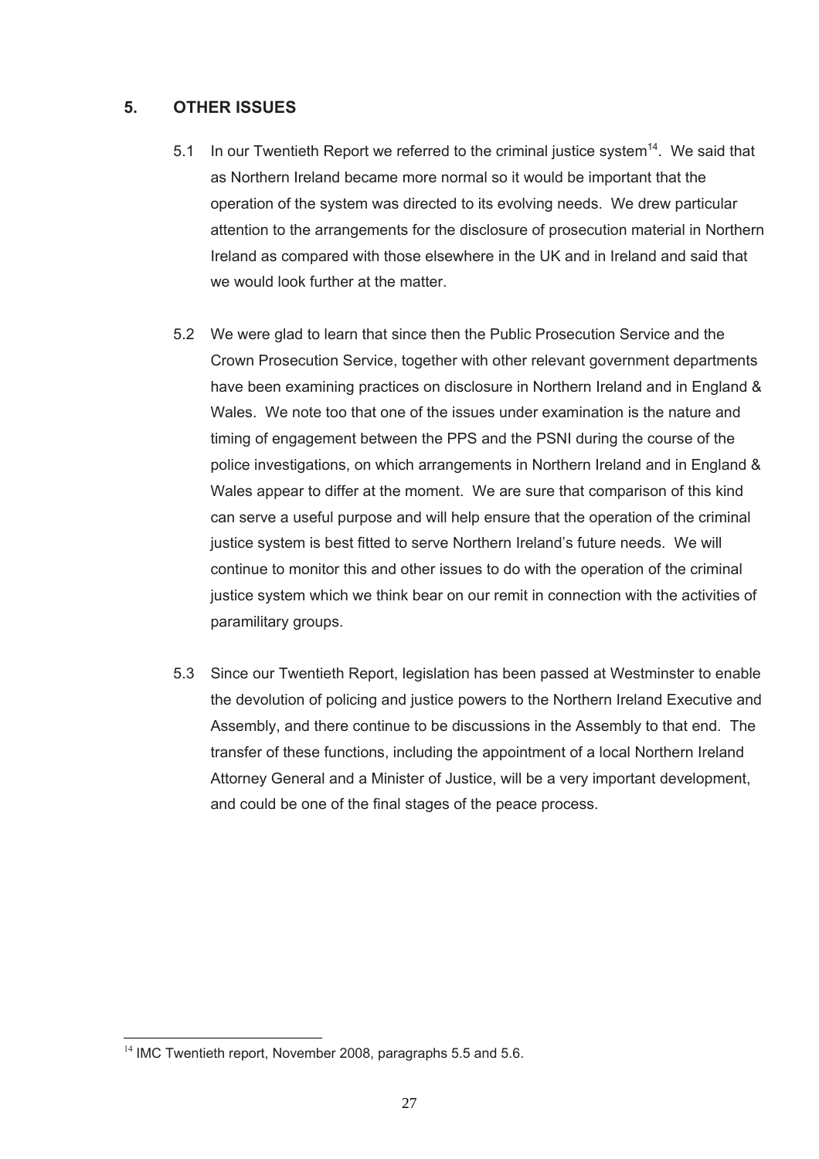# **5. OTHER ISSUES**

- 5.1 In our Twentieth Report we referred to the criminal justice system<sup>14</sup>. We said that as Northern Ireland became more normal so it would be important that the operation of the system was directed to its evolving needs. We drew particular attention to the arrangements for the disclosure of prosecution material in Northern Ireland as compared with those elsewhere in the UK and in Ireland and said that we would look further at the matter.
- 5.2 We were glad to learn that since then the Public Prosecution Service and the Crown Prosecution Service, together with other relevant government departments have been examining practices on disclosure in Northern Ireland and in England & Wales. We note too that one of the issues under examination is the nature and timing of engagement between the PPS and the PSNI during the course of the police investigations, on which arrangements in Northern Ireland and in England & Wales appear to differ at the moment. We are sure that comparison of this kind can serve a useful purpose and will help ensure that the operation of the criminal justice system is best fitted to serve Northern Ireland's future needs. We will continue to monitor this and other issues to do with the operation of the criminal justice system which we think bear on our remit in connection with the activities of paramilitary groups.
- 5.3 Since our Twentieth Report, legislation has been passed at Westminster to enable the devolution of policing and justice powers to the Northern Ireland Executive and Assembly, and there continue to be discussions in the Assembly to that end. The transfer of these functions, including the appointment of a local Northern Ireland Attorney General and a Minister of Justice, will be a very important development, and could be one of the final stages of the peace process.

 $\overline{a}$  $14$  IMC Twentieth report, November 2008, paragraphs 5.5 and 5.6.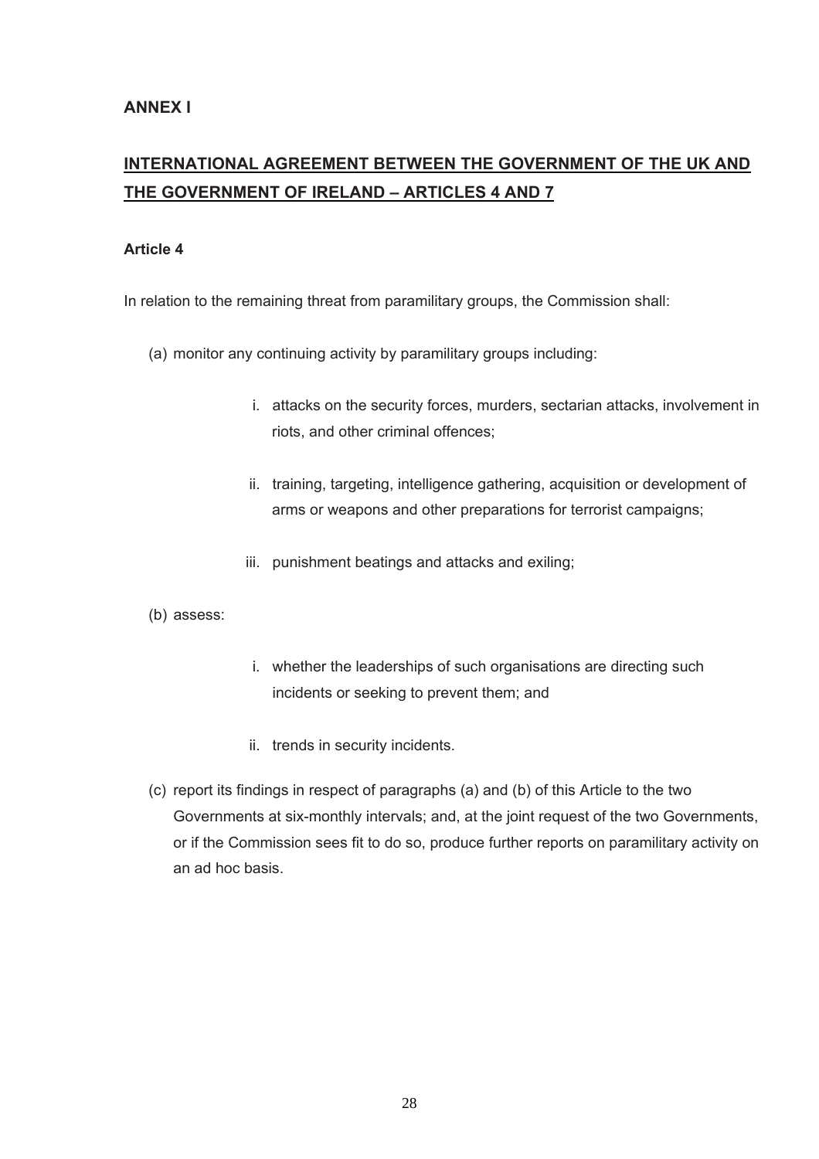# **INTERNATIONAL AGREEMENT BETWEEN THE GOVERNMENT OF THE UK AND THE GOVERNMENT OF IRELAND – ARTICLES 4 AND 7**

#### **Article 4**

In relation to the remaining threat from paramilitary groups, the Commission shall:

- (a) monitor any continuing activity by paramilitary groups including:
	- i. attacks on the security forces, murders, sectarian attacks, involvement in riots, and other criminal offences;
	- ii. training, targeting, intelligence gathering, acquisition or development of arms or weapons and other preparations for terrorist campaigns;
	- iii. punishment beatings and attacks and exiling;
- (b) assess:
- i. whether the leaderships of such organisations are directing such incidents or seeking to prevent them; and
- ii. trends in security incidents.
- (c) report its findings in respect of paragraphs (a) and (b) of this Article to the two Governments at six-monthly intervals; and, at the joint request of the two Governments, or if the Commission sees fit to do so, produce further reports on paramilitary activity on an ad hoc basis.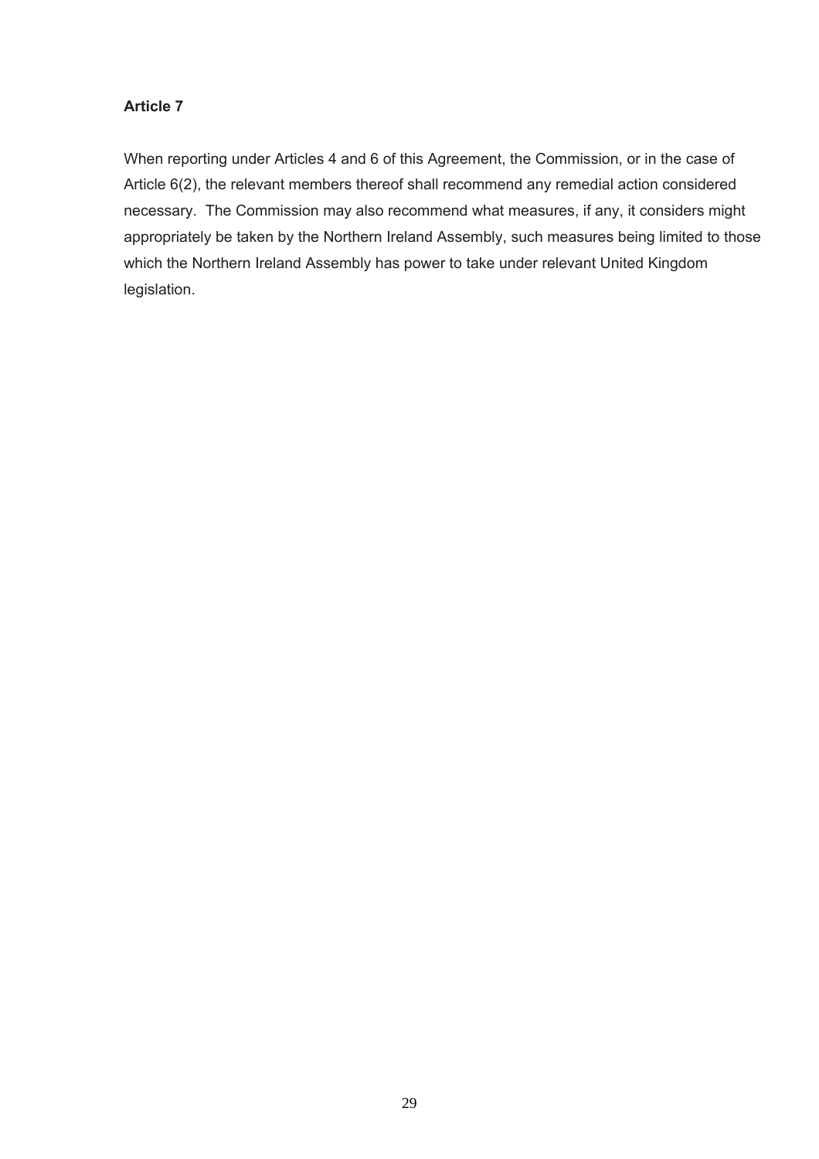# **Article 7**

When reporting under Articles 4 and 6 of this Agreement, the Commission, or in the case of Article 6(2), the relevant members thereof shall recommend any remedial action considered necessary. The Commission may also recommend what measures, if any, it considers might appropriately be taken by the Northern Ireland Assembly, such measures being limited to those which the Northern Ireland Assembly has power to take under relevant United Kingdom legislation.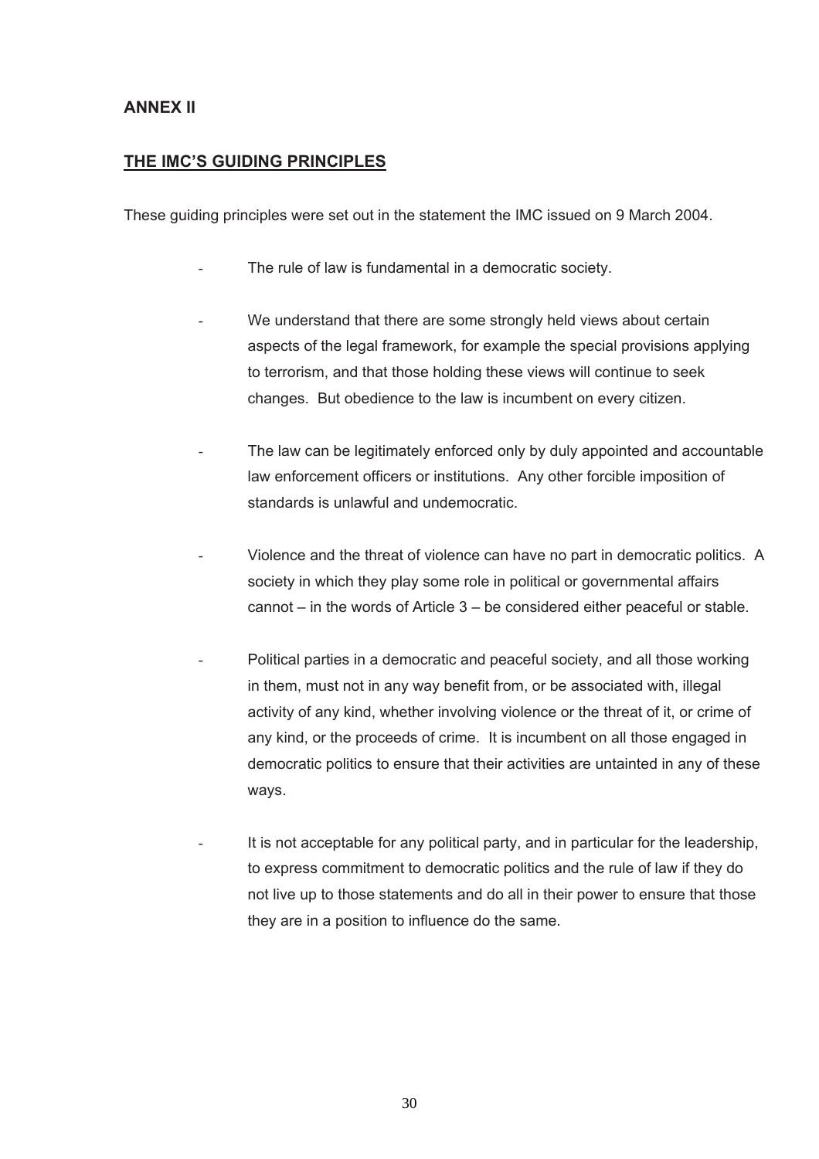# **ANNEX II**

# **THE IMC'S GUIDING PRINCIPLES**

These guiding principles were set out in the statement the IMC issued on 9 March 2004.

- The rule of law is fundamental in a democratic society.
- We understand that there are some strongly held views about certain aspects of the legal framework, for example the special provisions applying to terrorism, and that those holding these views will continue to seek changes. But obedience to the law is incumbent on every citizen.
- The law can be legitimately enforced only by duly appointed and accountable law enforcement officers or institutions. Any other forcible imposition of standards is unlawful and undemocratic.
- Violence and the threat of violence can have no part in democratic politics. A society in which they play some role in political or governmental affairs cannot – in the words of Article 3 – be considered either peaceful or stable.
- Political parties in a democratic and peaceful society, and all those working in them, must not in any way benefit from, or be associated with, illegal activity of any kind, whether involving violence or the threat of it, or crime of any kind, or the proceeds of crime. It is incumbent on all those engaged in democratic politics to ensure that their activities are untainted in any of these ways.
- It is not acceptable for any political party, and in particular for the leadership, to express commitment to democratic politics and the rule of law if they do not live up to those statements and do all in their power to ensure that those they are in a position to influence do the same.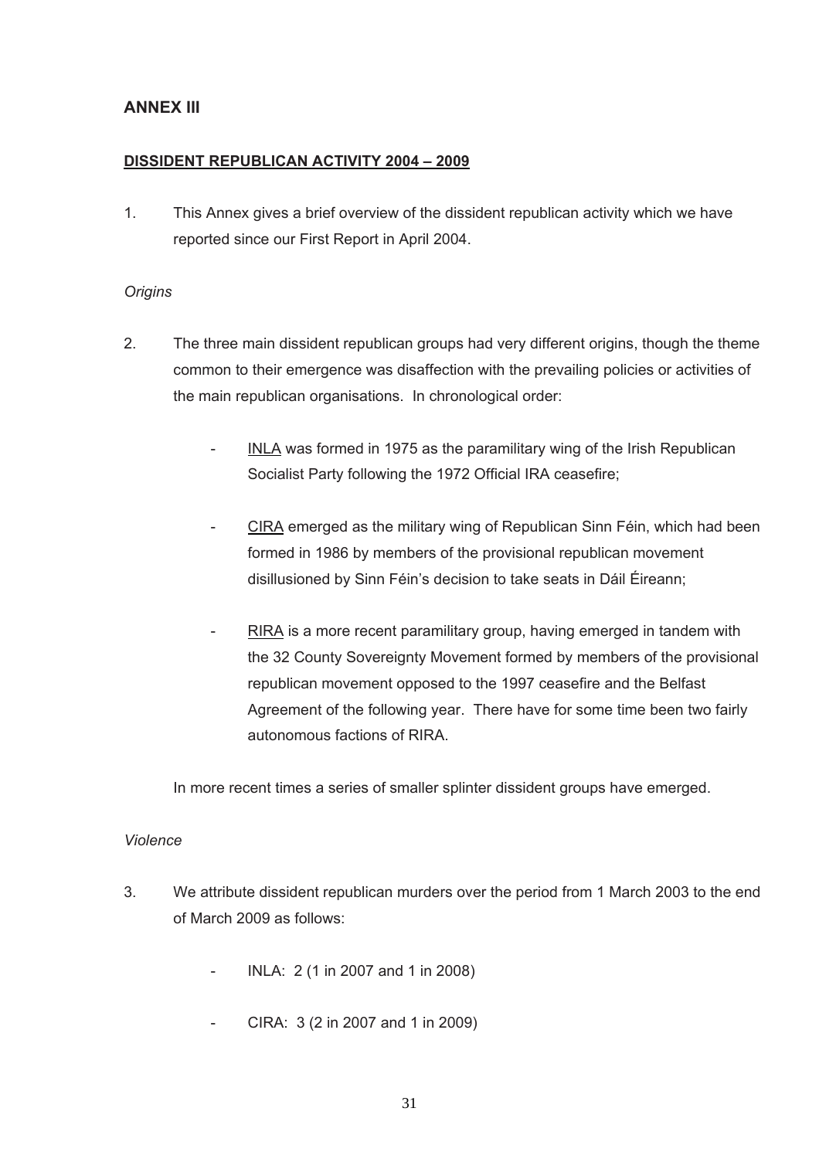# **ANNEX III**

#### **DISSIDENT REPUBLICAN ACTIVITY 2004 – 2009**

1. This Annex gives a brief overview of the dissident republican activity which we have reported since our First Report in April 2004.

#### *Origins*

- 2. The three main dissident republican groups had very different origins, though the theme common to their emergence was disaffection with the prevailing policies or activities of the main republican organisations. In chronological order:
	- INLA was formed in 1975 as the paramilitary wing of the Irish Republican Socialist Party following the 1972 Official IRA ceasefire;
	- CIRA emerged as the military wing of Republican Sinn Féin, which had been formed in 1986 by members of the provisional republican movement disillusioned by Sinn Féin's decision to take seats in Dáil Éireann;
	- RIRA is a more recent paramilitary group, having emerged in tandem with the 32 County Sovereignty Movement formed by members of the provisional republican movement opposed to the 1997 ceasefire and the Belfast Agreement of the following year. There have for some time been two fairly autonomous factions of RIRA.

In more recent times a series of smaller splinter dissident groups have emerged.

#### *Violence*

- 3. We attribute dissident republican murders over the period from 1 March 2003 to the end of March 2009 as follows:
	- INLA: 2 (1 in 2007 and 1 in 2008)
	- CIRA: 3 (2 in 2007 and 1 in 2009)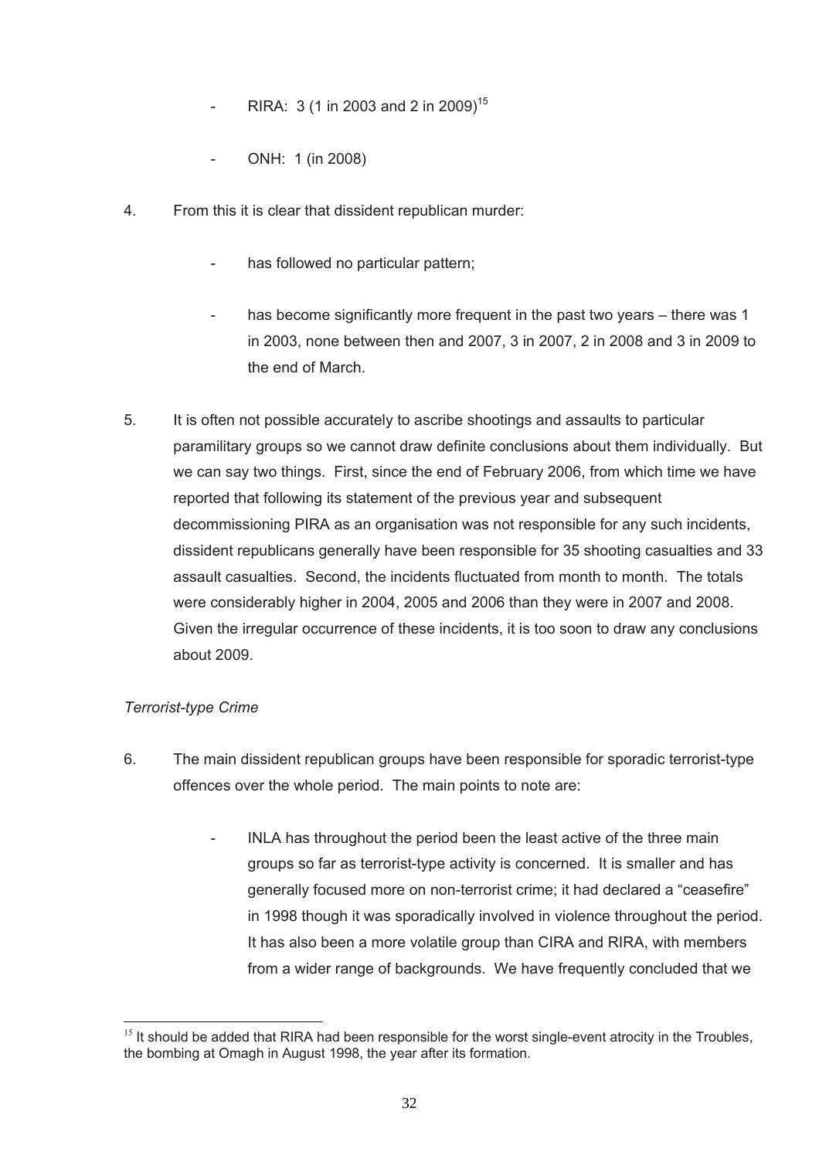- RIRA: 3 (1 in 2003 and 2 in 2009)<sup>15</sup>
- ONH: 1 (in 2008)
- 4. From this it is clear that dissident republican murder:
	- has followed no particular pattern;
	- has become significantly more frequent in the past two years there was 1 in 2003, none between then and 2007, 3 in 2007, 2 in 2008 and 3 in 2009 to the end of March.
- 5. It is often not possible accurately to ascribe shootings and assaults to particular paramilitary groups so we cannot draw definite conclusions about them individually. But we can say two things. First, since the end of February 2006, from which time we have reported that following its statement of the previous year and subsequent decommissioning PIRA as an organisation was not responsible for any such incidents, dissident republicans generally have been responsible for 35 shooting casualties and 33 assault casualties. Second, the incidents fluctuated from month to month. The totals were considerably higher in 2004, 2005 and 2006 than they were in 2007 and 2008. Given the irregular occurrence of these incidents, it is too soon to draw any conclusions about 2009.

#### *Terrorist-type Crime*

- 6. The main dissident republican groups have been responsible for sporadic terrorist-type offences over the whole period. The main points to note are:
	- INLA has throughout the period been the least active of the three main groups so far as terrorist-type activity is concerned. It is smaller and has generally focused more on non-terrorist crime; it had declared a "ceasefire" in 1998 though it was sporadically involved in violence throughout the period. It has also been a more volatile group than CIRA and RIRA, with members from a wider range of backgrounds. We have frequently concluded that we

 $\overline{a}$  $<sup>15</sup>$  It should be added that RIRA had been responsible for the worst single-event atrocity in the Troubles,</sup> the bombing at Omagh in August 1998, the year after its formation.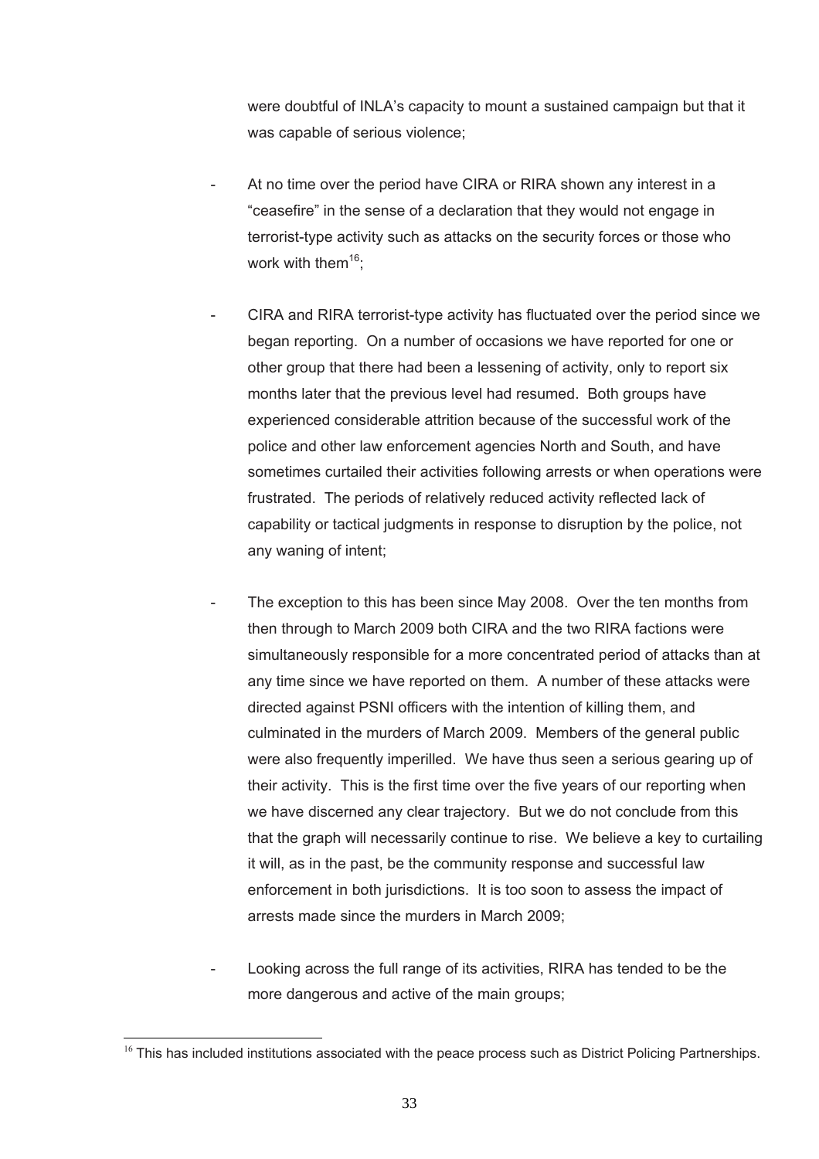were doubtful of INLA's capacity to mount a sustained campaign but that it was capable of serious violence;

- At no time over the period have CIRA or RIRA shown any interest in a "ceasefire" in the sense of a declaration that they would not engage in terrorist-type activity such as attacks on the security forces or those who work with them $16$ :
- CIRA and RIRA terrorist-type activity has fluctuated over the period since we began reporting. On a number of occasions we have reported for one or other group that there had been a lessening of activity, only to report six months later that the previous level had resumed. Both groups have experienced considerable attrition because of the successful work of the police and other law enforcement agencies North and South, and have sometimes curtailed their activities following arrests or when operations were frustrated. The periods of relatively reduced activity reflected lack of capability or tactical judgments in response to disruption by the police, not any waning of intent;
- The exception to this has been since May 2008. Over the ten months from then through to March 2009 both CIRA and the two RIRA factions were simultaneously responsible for a more concentrated period of attacks than at any time since we have reported on them. A number of these attacks were directed against PSNI officers with the intention of killing them, and culminated in the murders of March 2009. Members of the general public were also frequently imperilled. We have thus seen a serious gearing up of their activity. This is the first time over the five years of our reporting when we have discerned any clear trajectory. But we do not conclude from this that the graph will necessarily continue to rise. We believe a key to curtailing it will, as in the past, be the community response and successful law enforcement in both jurisdictions. It is too soon to assess the impact of arrests made since the murders in March 2009;
- Looking across the full range of its activities, RIRA has tended to be the more dangerous and active of the main groups;

 $\overline{a}$ 

 $16$  This has included institutions associated with the peace process such as District Policing Partnerships.